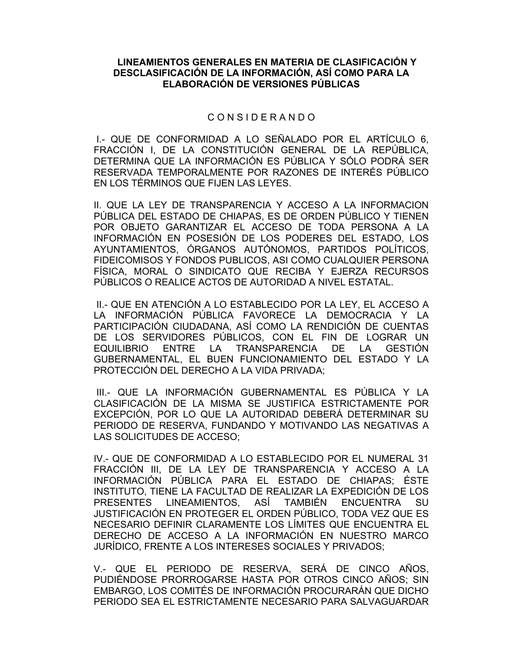#### **LINEAMIENTOS GENERALES EN MATERIA DE CLASIFICACIÓN Y DESCLASIFICACIÓN DE LA INFORMACIÓN, ASÍ COMO PARA LA ELABORACIÓN DE VERSIONES PÚBLICAS**

## C O N S I D E R A N D O

 I.- QUE DE CONFORMIDAD A LO SEÑALADO POR EL ARTÍCULO 6, FRACCIÓN I, DE LA CONSTITUCIÓN GENERAL DE LA REPÚBLICA, DETERMINA QUE LA INFORMACIÓN ES PÚBLICA Y SÓLO PODRÁ SER RESERVADA TEMPORALMENTE POR RAZONES DE INTERÉS PÚBLICO EN LOS TÉRMINOS QUE FIJEN LAS LEYES.

II. QUE LA LEY DE TRANSPARENCIA Y ACCESO A LA INFORMACION PÚBLICA DEL ESTADO DE CHIAPAS, ES DE ORDEN PÚBLICO Y TIENEN POR OBJETO GARANTIZAR EL ACCESO DE TODA PERSONA A LA INFORMACIÓN EN POSESIÓN DE LOS PODERES DEL ESTADO, LOS AYUNTAMIENTOS, ÓRGANOS AUTÓNOMOS, PARTIDOS POLÍTICOS, FIDEICOMISOS Y FONDOS PUBLICOS, ASI COMO CUALQUIER PERSONA FÍSICA, MORAL O SINDICATO QUE RECIBA Y EJERZA RECURSOS PÚBLICOS O REALICE ACTOS DE AUTORIDAD A NIVEL ESTATAL.

 II.- QUE EN ATENCIÓN A LO ESTABLECIDO POR LA LEY, EL ACCESO A LA INFORMACIÓN PÚBLICA FAVORECE LA DEMOCRACIA Y LA PARTICIPACIÓN CIUDADANA, ASÍ COMO LA RENDICIÓN DE CUENTAS DE LOS SERVIDORES PÚBLICOS, CON EL FIN DE LOGRAR UN EQUILIBRIO ENTRE LA TRANSPARENCIA DE LA GESTIÓN GUBERNAMENTAL, EL BUEN FUNCIONAMIENTO DEL ESTADO Y LA PROTECCIÓN DEL DERECHO A LA VIDA PRIVADA;

 III.- QUE LA INFORMACIÓN GUBERNAMENTAL ES PÚBLICA Y LA CLASIFICACIÓN DE LA MISMA SE JUSTIFICA ESTRICTAMENTE POR EXCEPCIÓN, POR LO QUE LA AUTORIDAD DEBERÁ DETERMINAR SU PERIODO DE RESERVA, FUNDANDO Y MOTIVANDO LAS NEGATIVAS A LAS SOLICITUDES DE ACCESO;

IV.- QUE DE CONFORMIDAD A LO ESTABLECIDO POR EL NUMERAL 31 FRACCIÓN III, DE LA LEY DE TRANSPARENCIA Y ACCESO A LA INFORMACIÓN PÚBLICA PARA EL ESTADO DE CHIAPAS; ÉSTE INSTITUTO, TIENE LA FACULTAD DE REALIZAR LA EXPEDICIÓN DE LOS PRESENTES LINEAMIENTOS, ASÍ TAMBIÉN ENCUENTRA SU JUSTIFICACIÓN EN PROTEGER EL ORDEN PÚBLICO, TODA VEZ QUE ES NECESARIO DEFINIR CLARAMENTE LOS LÍMITES QUE ENCUENTRA EL DERECHO DE ACCESO A LA INFORMACIÓN EN NUESTRO MARCO JURÍDICO, FRENTE A LOS INTERESES SOCIALES Y PRIVADOS;

V.- QUE EL PERIODO DE RESERVA, SERÁ DE CINCO AÑOS, PUDIÉNDOSE PRORROGARSE HASTA POR OTROS CINCO AÑOS; SIN EMBARGO, LOS COMITÉS DE INFORMACIÓN PROCURARÁN QUE DICHO PERIODO SEA EL ESTRICTAMENTE NECESARIO PARA SALVAGUARDAR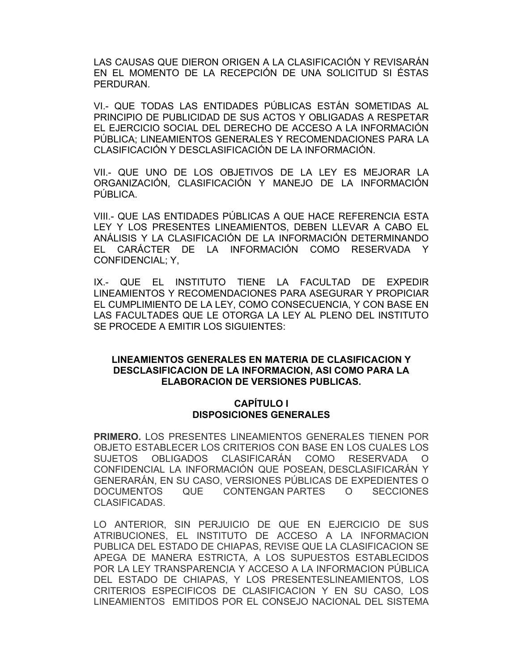LAS CAUSAS QUE DIERON ORIGEN A LA CLASIFICACIÓN Y REVISARÁN EN EL MOMENTO DE LA RECEPCIÓN DE UNA SOLICITUD SI ÉSTAS PERDURAN.

VI.- QUE TODAS LAS ENTIDADES PÚBLICAS ESTÁN SOMETIDAS AL PRINCIPIO DE PUBLICIDAD DE SUS ACTOS Y OBLIGADAS A RESPETAR EL EJERCICIO SOCIAL DEL DERECHO DE ACCESO A LA INFORMACIÓN PÚBLICA; LINEAMIENTOS GENERALES Y RECOMENDACIONES PARA LA CLASIFICACIÓN Y DESCLASIFICACIÓN DE LA INFORMACIÓN.

VII.- QUE UNO DE LOS OBJETIVOS DE LA LEY ES MEJORAR LA ORGANIZACIÓN, CLASIFICACIÓN Y MANEJO DE LA INFORMACIÓN PÚBLICA.

VIII.- QUE LAS ENTIDADES PÚBLICAS A QUE HACE REFERENCIA ESTA LEY Y LOS PRESENTES LINEAMIENTOS, DEBEN LLEVAR A CABO EL ANÁLISIS Y LA CLASIFICACIÓN DE LA INFORMACIÓN DETERMINANDO EL CARÁCTER DE LA INFORMACIÓN COMO RESERVADA Y CONFIDENCIAL; Y,

IX.- QUE EL INSTITUTO TIENE LA FACULTAD DE EXPEDIR LINEAMIENTOS Y RECOMENDACIONES PARA ASEGURAR Y PROPICIAR EL CUMPLIMIENTO DE LA LEY, COMO CONSECUENCIA, Y CON BASE EN LAS FACULTADES QUE LE OTORGA LA LEY AL PLENO DEL INSTITUTO SE PROCEDE A EMITIR LOS SIGUIENTES:

## **LINEAMIENTOS GENERALES EN MATERIA DE CLASIFICACION Y DESCLASIFICACION DE LA INFORMACION, ASI COMO PARA LA ELABORACION DE VERSIONES PUBLICAS.**

#### **CAPÍTULO I DISPOSICIONES GENERALES**

**PRIMERO.** LOS PRESENTES LINEAMIENTOS GENERALES TIENEN POR OBJETO ESTABLECER LOS CRITERIOS CON BASE EN LOS CUALES LOS SUJETOS OBLIGADOS CLASIFICARÁN COMO RESERVADA O CONFIDENCIAL LA INFORMACIÓN QUE POSEAN, DESCLASIFICARÁN Y GENERARÁN, EN SU CASO, VERSIONES PÚBLICAS DE EXPEDIENTES O DOCUMENTOS QUE CONTENGAN PARTES O SECCIONES CLASIFICADAS.

LO ANTERIOR, SIN PERJUICIO DE QUE EN EJERCICIO DE SUS ATRIBUCIONES, EL INSTITUTO DE ACCESO A LA INFORMACION PUBLICA DEL ESTADO DE CHIAPAS, REVISE QUE LA CLASIFICACION SE APEGA DE MANERA ESTRICTA, A LOS SUPUESTOS ESTABLECIDOS POR LA LEY TRANSPARENCIA Y ACCESO A LA INFORMACION PÚBLICA DEL ESTADO DE CHIAPAS, Y LOS PRESENTESLINEAMIENTOS, LOS CRITERIOS ESPECIFICOS DE CLASIFICACION Y EN SU CASO, LOS LINEAMIENTOS EMITIDOS POR EL CONSEJO NACIONAL DEL SISTEMA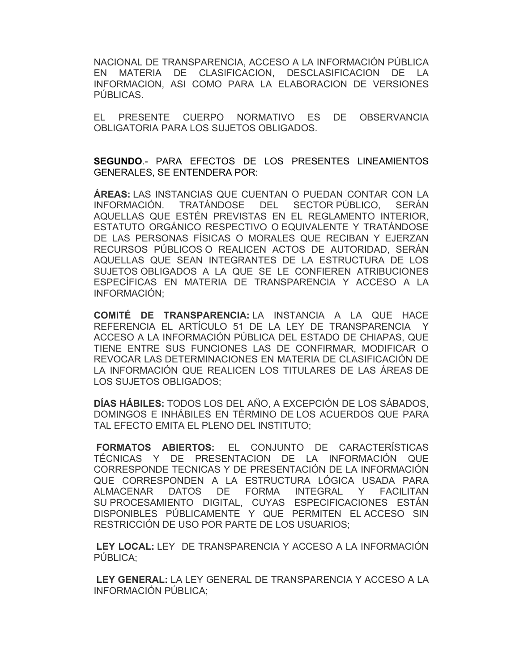NACIONAL DE TRANSPARENCIA, ACCESO A LA INFORMACIÓN PÚBLICA EN MATERIA DE CLASIFICACION, DESCLASIFICACION DE LA INFORMACION, ASI COMO PARA LA ELABORACION DE VERSIONES PÚBLICAS.

EL PRESENTE CUERPO NORMATIVO ES DE OBSERVANCIA OBLIGATORIA PARA LOS SUJETOS OBLIGADOS.

**SEGUNDO**.- PARA EFECTOS DE LOS PRESENTES LINEAMIENTOS GENERALES, SE ENTENDERA POR:

**ÁREAS:** LAS INSTANCIAS QUE CUENTAN O PUEDAN CONTAR CON LA INFORMACIÓN. TRATÁNDOSE DEL SECTOR PÚBLICO, SERÁN AQUELLAS QUE ESTÉN PREVISTAS EN EL REGLAMENTO INTERIOR, ESTATUTO ORGÁNICO RESPECTIVO O EQUIVALENTE Y TRATÁNDOSE DE LAS PERSONAS FÍSICAS O MORALES QUE RECIBAN Y EJERZAN RECURSOS PÚBLICOS O REALICEN ACTOS DE AUTORIDAD, SERÁN AQUELLAS QUE SEAN INTEGRANTES DE LA ESTRUCTURA DE LOS SUJETOS OBLIGADOS A LA QUE SE LE CONFIEREN ATRIBUCIONES ESPECÍFICAS EN MATERIA DE TRANSPARENCIA Y ACCESO A LA INFORMACIÓN;

 **COMITÉ DE TRANSPARENCIA:** LA INSTANCIA A LA QUE HACE REFERENCIA EL ARTÍCULO 51 DE LA LEY DE TRANSPARENCIA Y ACCESO A LA INFORMACIÓN PÚBLICA DEL ESTADO DE CHIAPAS, QUE TIENE ENTRE SUS FUNCIONES LAS DE CONFIRMAR, MODIFICAR O REVOCAR LAS DETERMINACIONES EN MATERIA DE CLASIFICACIÓN DE LA INFORMACIÓN QUE REALICEN LOS TITULARES DE LAS ÁREAS DE LOS SUJETOS OBLIGADOS;

 **DÍAS HÁBILES:** TODOS LOS DEL AÑO, A EXCEPCIÓN DE LOS SÁBADOS, DOMINGOS E INHÁBILES EN TÉRMINO DE LOS ACUERDOS QUE PARA TAL EFECTO EMITA EL PLENO DEL INSTITUTO;

 **FORMATOS ABIERTOS:** EL CONJUNTO DE CARACTERÍSTICAS TÉCNICAS Y DE PRESENTACION DE LA INFORMACIÓN QUE CORRESPONDE TECNICAS Y DE PRESENTACIÓN DE LA INFORMACIÓN QUE CORRESPONDEN A LA ESTRUCTURA LÓGICA USADA PARA ALMACENAR DATOS DE FORMA INTEGRAL Y FACILITAN SU PROCESAMIENTO DIGITAL, CUYAS ESPECIFICACIONES ESTÁN DISPONIBLES PÚBLICAMENTE Y QUE PERMITEN EL ACCESO SIN RESTRICCIÓN DE USO POR PARTE DE LOS USUARIOS;

 **LEY LOCAL:** LEY DE TRANSPARENCIA Y ACCESO A LA INFORMACIÓN PÚBLICA;

 **LEY GENERAL:** LA LEY GENERAL DE TRANSPARENCIA Y ACCESO A LA INFORMACIÓN PÚBLICA;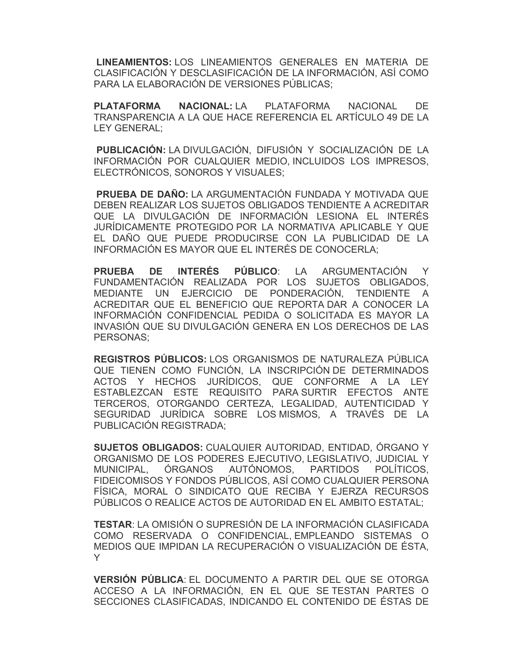**LINEAMIENTOS:** LOS LINEAMIENTOS GENERALES EN MATERIA DE CLASIFICACIÓN Y DESCLASIFICACIÓN DE LA INFORMACIÓN, ASÍ COMO PARA LA ELABORACIÓN DE VERSIONES PÚBLICAS;

 **PLATAFORMA NACIONAL:** LA PLATAFORMA NACIONAL DE TRANSPARENCIA A LA QUE HACE REFERENCIA EL ARTÍCULO 49 DE LA LEY GENERAL;

 **PUBLICACIÓN:** LA DIVULGACIÓN, DIFUSIÓN Y SOCIALIZACIÓN DE LA INFORMACIÓN POR CUALQUIER MEDIO, INCLUIDOS LOS IMPRESOS, ELECTRÓNICOS, SONOROS Y VISUALES;

 **PRUEBA DE DAÑO:** LA ARGUMENTACIÓN FUNDADA Y MOTIVADA QUE DEBEN REALIZAR LOS SUJETOS OBLIGADOS TENDIENTE A ACREDITAR QUE LA DIVULGACIÓN DE INFORMACIÓN LESIONA EL INTERÉS JURÍDICAMENTE PROTEGIDO POR LA NORMATIVA APLICABLE Y QUE EL DAÑO QUE PUEDE PRODUCIRSE CON LA PUBLICIDAD DE LA INFORMACIÓN ES MAYOR QUE EL INTERÉS DE CONOCERLA;

 **PRUEBA DE INTERÉS PÚBLICO**: LA ARGUMENTACIÓN Y FUNDAMENTACIÓN REALIZADA POR LOS SUJETOS OBLIGADOS, MEDIANTE UN EJERCICIO DE PONDERACIÓN, TENDIENTE A ACREDITAR QUE EL BENEFICIO QUE REPORTA DAR A CONOCER LA INFORMACIÓN CONFIDENCIAL PEDIDA O SOLICITADA ES MAYOR LA INVASIÓN QUE SU DIVULGACIÓN GENERA EN LOS DERECHOS DE LAS PERSONAS;

 **REGISTROS PÚBLICOS:** LOS ORGANISMOS DE NATURALEZA PÚBLICA QUE TIENEN COMO FUNCIÓN, LA INSCRIPCIÓN DE DETERMINADOS ACTOS Y HECHOS JURÍDICOS, QUE CONFORME A LA LEY ESTABLEZCAN ESTE REQUISITO PARA SURTIR EFECTOS ANTE TERCEROS, OTORGANDO CERTEZA, LEGALIDAD, AUTENTICIDAD Y SEGURIDAD JURÍDICA SOBRE LOS MISMOS, A TRAVÉS DE LA PUBLICACIÓN REGISTRADA;

 **SUJETOS OBLIGADOS:** CUALQUIER AUTORIDAD, ENTIDAD, ÓRGANO Y ORGANISMO DE LOS PODERES EJECUTIVO, LEGISLATIVO, JUDICIAL Y MUNICIPAL, ÓRGANOS AUTÓNOMOS, PARTIDOS POLÍTICOS, FIDEICOMISOS Y FONDOS PÚBLICOS, ASÍ COMO CUALQUIER PERSONA FÍSICA, MORAL O SINDICATO QUE RECIBA Y EJERZA RECURSOS PÚBLICOS O REALICE ACTOS DE AUTORIDAD EN EL AMBITO ESTATAL;

 **TESTAR**: LA OMISIÓN O SUPRESIÓN DE LA INFORMACIÓN CLASIFICADA COMO RESERVADA O CONFIDENCIAL, EMPLEANDO SISTEMAS O MEDIOS QUE IMPIDAN LA RECUPERACIÓN O VISUALIZACIÓN DE ÉSTA, Y

 **VERSIÓN PÚBLICA**: EL DOCUMENTO A PARTIR DEL QUE SE OTORGA ACCESO A LA INFORMACIÓN, EN EL QUE SE TESTAN PARTES O SECCIONES CLASIFICADAS, INDICANDO EL CONTENIDO DE ÉSTAS DE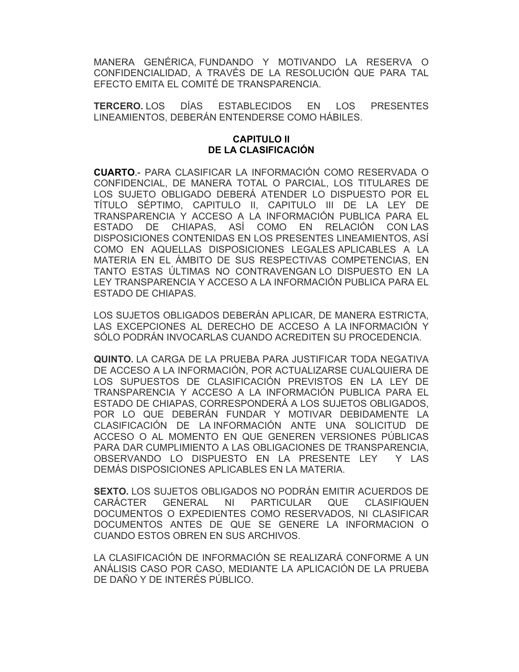MANERA GENÉRICA, FUNDANDO Y MOTIVANDO LA RESERVA O CONFIDENCIALIDAD, A TRAVÉS DE LA RESOLUCIÓN QUE PARA TAL EFECTO EMITA EL COMITÉ DE TRANSPARENCIA.

**TERCERO.** LOS DÍAS ESTABLECIDOS EN LOS PRESENTES LINEAMIENTOS, DEBERÁN ENTENDERSE COMO HÁBILES.

#### **CAPITULO II DE LA CLASIFICACIÓN**

**CUARTO**.- PARA CLASIFICAR LA INFORMACIÓN COMO RESERVADA O CONFIDENCIAL, DE MANERA TOTAL O PARCIAL, LOS TITULARES DE LOS SUJETO OBLIGADO DEBERÁ ATENDER LO DISPUESTO POR EL TÍTULO SÉPTIMO, CAPITULO II, CAPITULO III DE LA LEY DE TRANSPARENCIA Y ACCESO A LA INFORMACIÓN PUBLICA PARA EL ESTADO DE CHIAPAS, ASÍ COMO EN RELACIÓN CON LAS DISPOSICIONES CONTENIDAS EN LOS PRESENTES LINEAMIENTOS, ASÍ COMO EN AQUELLAS DISPOSICIONES LEGALES APLICABLES A LA MATERIA EN EL ÁMBITO DE SUS RESPECTIVAS COMPETENCIAS, EN TANTO ESTAS ÚLTIMAS NO CONTRAVENGAN LO DISPUESTO EN LA LEY TRANSPARENCIA Y ACCESO A LA INFORMACIÓN PUBLICA PARA EL ESTADO DE CHIAPAS.

LOS SUJETOS OBLIGADOS DEBERÁN APLICAR, DE MANERA ESTRICTA, LAS EXCEPCIONES AL DERECHO DE ACCESO A LA INFORMACIÓN Y SÓLO PODRÁN INVOCARLAS CUANDO ACREDITEN SU PROCEDENCIA.

**QUINTO.** LA CARGA DE LA PRUEBA PARA JUSTIFICAR TODA NEGATIVA DE ACCESO A LA INFORMACIÓN, POR ACTUALIZARSE CUALQUIERA DE LOS SUPUESTOS DE CLASIFICACIÓN PREVISTOS EN LA LEY DE TRANSPARENCIA Y ACCESO A LA INFORMACIÓN PUBLICA PARA EL ESTADO DE CHIAPAS, CORRESPONDERÁ A LOS SUJETOS OBLIGADOS, POR LO QUE DEBERÁN FUNDAR Y MOTIVAR DEBIDAMENTE LA CLASIFICACIÓN DE LA INFORMACIÓN ANTE UNA SOLICITUD DE ACCESO O AL MOMENTO EN QUE GENEREN VERSIONES PÚBLICAS PARA DAR CUMPLIMIENTO A LAS OBLIGACIONES DE TRANSPARENCIA, OBSERVANDO LO DISPUESTO EN LA PRESENTE LEY Y LAS DEMÁS DISPOSICIONES APLICABLES EN LA MATERIA.

**SEXTO.** LOS SUJETOS OBLIGADOS NO PODRÁN EMITIR ACUERDOS DE CARÁCTER GENERAL NI PARTICULAR QUE CLASIFIQUEN DOCUMENTOS O EXPEDIENTES COMO RESERVADOS, NI CLASIFICAR DOCUMENTOS ANTES DE QUE SE GENERE LA INFORMACION O CUANDO ESTOS OBREN EN SUS ARCHIVOS.

LA CLASIFICACIÓN DE INFORMACIÓN SE REALIZARÁ CONFORME A UN ANÁLISIS CASO POR CASO, MEDIANTE LA APLICACIÓN DE LA PRUEBA DE DAÑO Y DE INTERÉS PÚBLICO.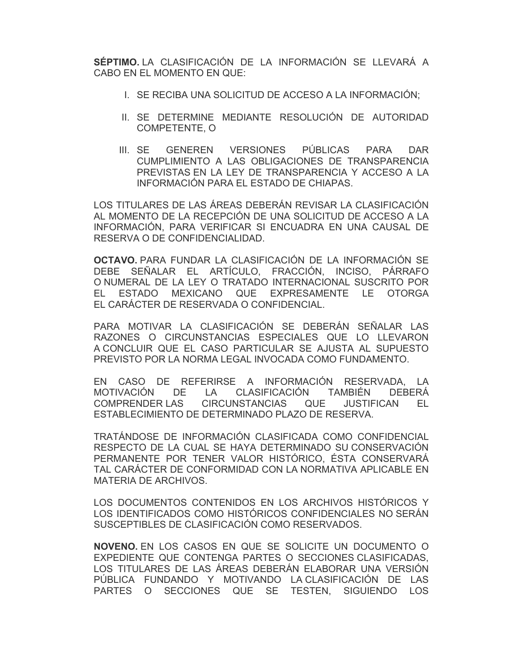**SÉPTIMO.** LA CLASIFICACIÓN DE LA INFORMACIÓN SE LLEVARÁ A CABO EN EL MOMENTO EN QUE:

- I. SE RECIBA UNA SOLICITUD DE ACCESO A LA INFORMACIÓN;
- II. SE DETERMINE MEDIANTE RESOLUCIÓN DE AUTORIDAD COMPETENTE, O
- III. SE GENEREN VERSIONES PÚBLICAS PARA DAR CUMPLIMIENTO A LAS OBLIGACIONES DE TRANSPARENCIA PREVISTAS EN LA LEY DE TRANSPARENCIA Y ACCESO A LA INFORMACIÓN PARA EL ESTADO DE CHIAPAS.

LOS TITULARES DE LAS ÁREAS DEBERÁN REVISAR LA CLASIFICACIÓN AL MOMENTO DE LA RECEPCIÓN DE UNA SOLICITUD DE ACCESO A LA INFORMACIÓN, PARA VERIFICAR SI ENCUADRA EN UNA CAUSAL DE RESERVA O DE CONFIDENCIALIDAD.

**OCTAVO.** PARA FUNDAR LA CLASIFICACIÓN DE LA INFORMACIÓN SE DEBE SEÑALAR EL ARTÍCULO, FRACCIÓN, INCISO, PÁRRAFO O NUMERAL DE LA LEY O TRATADO INTERNACIONAL SUSCRITO POR EL ESTADO MEXICANO QUE EXPRESAMENTE LE OTORGA EL CARÁCTER DE RESERVADA O CONFIDENCIAL.

PARA MOTIVAR LA CLASIFICACIÓN SE DEBERÁN SEÑALAR LAS RAZONES O CIRCUNSTANCIAS ESPECIALES QUE LO LLEVARON A CONCLUIR QUE EL CASO PARTICULAR SE AJUSTA AL SUPUESTO PREVISTO POR LA NORMA LEGAL INVOCADA COMO FUNDAMENTO.

EN CASO DE REFERIRSE A INFORMACIÓN RESERVADA, LA MOTIVACIÓN DE LA CLASIFICACIÓN TAMBIÉN DEBERÁ COMPRENDER LAS CIRCUNSTANCIAS QUE JUSTIFICAN EL ESTABLECIMIENTO DE DETERMINADO PLAZO DE RESERVA.

TRATÁNDOSE DE INFORMACIÓN CLASIFICADA COMO CONFIDENCIAL RESPECTO DE LA CUAL SE HAYA DETERMINADO SU CONSERVACIÓN PERMANENTE POR TENER VALOR HISTÓRICO, ÉSTA CONSERVARÁ TAL CARÁCTER DE CONFORMIDAD CON LA NORMATIVA APLICABLE EN MATERIA DE ARCHIVOS.

LOS DOCUMENTOS CONTENIDOS EN LOS ARCHIVOS HISTÓRICOS Y LOS IDENTIFICADOS COMO HISTÓRICOS CONFIDENCIALES NO SERÁN SUSCEPTIBLES DE CLASIFICACIÓN COMO RESERVADOS.

**NOVENO.** EN LOS CASOS EN QUE SE SOLICITE UN DOCUMENTO O EXPEDIENTE QUE CONTENGA PARTES O SECCIONES CLASIFICADAS, LOS TITULARES DE LAS ÁREAS DEBERÁN ELABORAR UNA VERSIÓN PÚBLICA FUNDANDO Y MOTIVANDO LA CLASIFICACIÓN DE LAS PARTES O SECCIONES QUE SE TESTEN, SIGUIENDO LOS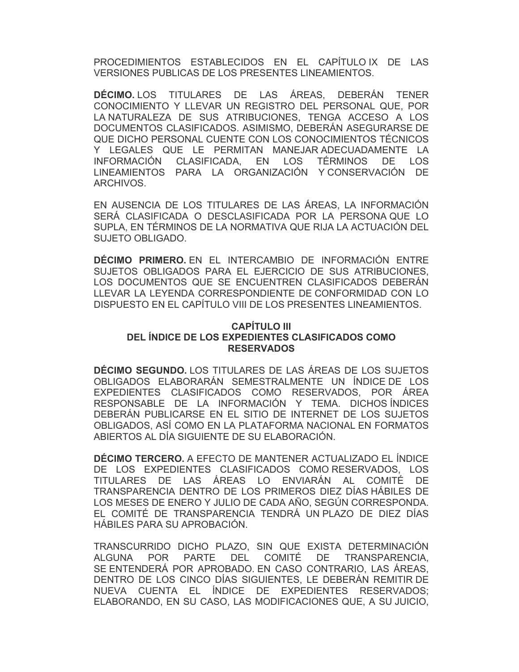PROCEDIMIENTOS ESTABLECIDOS EN EL CAPÍTULO IX DE LAS VERSIONES PUBLICAS DE LOS PRESENTES LINEAMIENTOS.

**DÉCIMO.** LOS TITULARES DE LAS ÁREAS, DEBERÁN TENER CONOCIMIENTO Y LLEVAR UN REGISTRO DEL PERSONAL QUE, POR LA NATURALEZA DE SUS ATRIBUCIONES, TENGA ACCESO A LOS DOCUMENTOS CLASIFICADOS. ASIMISMO, DEBERÁN ASEGURARSE DE QUE DICHO PERSONAL CUENTE CON LOS CONOCIMIENTOS TÉCNICOS Y LEGALES QUE LE PERMITAN MANEJAR ADECUADAMENTE LA INFORMACIÓN CLASIFICADA, EN LOS TÉRMINOS DE LOS LINEAMIENTOS PARA LA ORGANIZACIÓN Y CONSERVACIÓN DE ARCHIVOS.

EN AUSENCIA DE LOS TITULARES DE LAS ÁREAS, LA INFORMACIÓN SERÁ CLASIFICADA O DESCLASIFICADA POR LA PERSONA QUE LO SUPLA, EN TÉRMINOS DE LA NORMATIVA QUE RIJA LA ACTUACIÓN DEL SUJETO OBLIGADO.

**DÉCIMO PRIMERO.** EN EL INTERCAMBIO DE INFORMACIÓN ENTRE SUJETOS OBLIGADOS PARA EL EJERCICIO DE SUS ATRIBUCIONES, LOS DOCUMENTOS QUE SE ENCUENTREN CLASIFICADOS DEBERÁN LLEVAR LA LEYENDA CORRESPONDIENTE DE CONFORMIDAD CON LO DISPUESTO EN EL CAPÍTULO VIII DE LOS PRESENTES LINEAMIENTOS.

## **CAPÍTULO III DEL ÍNDICE DE LOS EXPEDIENTES CLASIFICADOS COMO RESERVADOS**

**DÉCIMO SEGUNDO.** LOS TITULARES DE LAS ÁREAS DE LOS SUJETOS OBLIGADOS ELABORARÁN SEMESTRALMENTE UN ÍNDICE DE LOS EXPEDIENTES CLASIFICADOS COMO RESERVADOS, POR ÁREA RESPONSABLE DE LA INFORMACIÓN Y TEMA. DICHOS ÍNDICES DEBERÁN PUBLICARSE EN EL SITIO DE INTERNET DE LOS SUJETOS OBLIGADOS, ASÍ COMO EN LA PLATAFORMA NACIONAL EN FORMATOS ABIERTOS AL DÍA SIGUIENTE DE SU ELABORACIÓN.

**DÉCIMO TERCERO.** A EFECTO DE MANTENER ACTUALIZADO EL ÍNDICE DE LOS EXPEDIENTES CLASIFICADOS COMO RESERVADOS, LOS TITULARES DE LAS ÁREAS LO ENVIARÁN AL COMITÉ DE TRANSPARENCIA DENTRO DE LOS PRIMEROS DIEZ DÍAS HÁBILES DE LOS MESES DE ENERO Y JULIO DE CADA AÑO, SEGÚN CORRESPONDA. EL COMITÉ DE TRANSPARENCIA TENDRÁ UN PLAZO DE DIEZ DÍAS HÁBILES PARA SU APROBACIÓN.

TRANSCURRIDO DICHO PLAZO, SIN QUE EXISTA DETERMINACIÓN ALGUNA POR PARTE DEL COMITÉ DE TRANSPARENCIA, SE ENTENDERÁ POR APROBADO. EN CASO CONTRARIO, LAS ÁREAS, DENTRO DE LOS CINCO DÍAS SIGUIENTES, LE DEBERÁN REMITIR DE NUEVA CUENTA EL ÍNDICE DE EXPEDIENTES RESERVADOS; ELABORANDO, EN SU CASO, LAS MODIFICACIONES QUE, A SU JUICIO,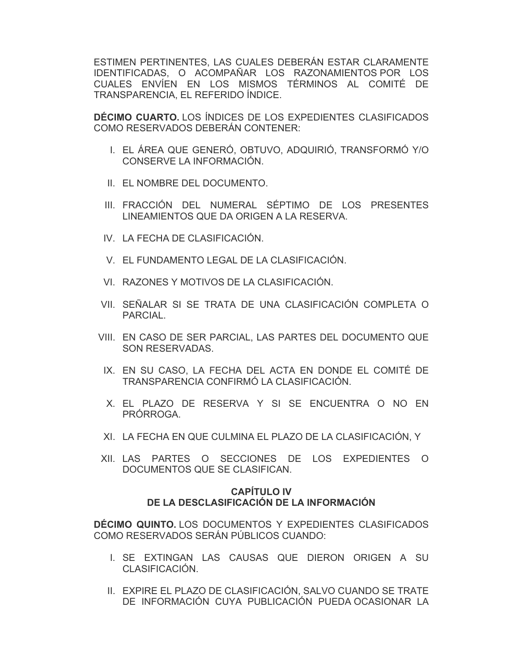ESTIMEN PERTINENTES, LAS CUALES DEBERÁN ESTAR CLARAMENTE IDENTIFICADAS, O ACOMPAÑAR LOS RAZONAMIENTOS POR LOS CUALES ENVÍEN EN LOS MISMOS TÉRMINOS AL COMITÉ DE TRANSPARENCIA, EL REFERIDO ÍNDICE.

**DÉCIMO CUARTO.** LOS ÍNDICES DE LOS EXPEDIENTES CLASIFICADOS COMO RESERVADOS DEBERÁN CONTENER:

- I. EL ÁREA QUE GENERÓ, OBTUVO, ADQUIRIÓ, TRANSFORMÓ Y/O CONSERVE LA INFORMACIÓN.
- II. EL NOMBRE DEL DOCUMENTO.
- III. FRACCIÓN DEL NUMERAL SÉPTIMO DE LOS PRESENTES LINEAMIENTOS QUE DA ORIGEN A LA RESERVA.
- IV. LA FECHA DE CLASIFICACIÓN.
- V. EL FUNDAMENTO LEGAL DE LA CLASIFICACIÓN.
- VI. RAZONES Y MOTIVOS DE LA CLASIFICACIÓN.
- VII. SEÑALAR SI SE TRATA DE UNA CLASIFICACIÓN COMPLETA O PARCIAL.
- VIII. EN CASO DE SER PARCIAL, LAS PARTES DEL DOCUMENTO QUE SON RESERVADAS.
	- IX. EN SU CASO, LA FECHA DEL ACTA EN DONDE EL COMITÉ DE TRANSPARENCIA CONFIRMÓ LA CLASIFICACIÓN.
	- X. EL PLAZO DE RESERVA Y SI SE ENCUENTRA O NO EN PRÓRROGA.
- XI. LA FECHA EN QUE CULMINA EL PLAZO DE LA CLASIFICACIÓN, Y
- XII. LAS PARTES O SECCIONES DE LOS EXPEDIENTES O DOCUMENTOS QUE SE CLASIFICAN.

## **CAPÍTULO IV DE LA DESCLASIFICACIÓN DE LA INFORMACIÓN**

**DÉCIMO QUINTO.** LOS DOCUMENTOS Y EXPEDIENTES CLASIFICADOS COMO RESERVADOS SERÁN PÚBLICOS CUANDO:

- I. SE EXTINGAN LAS CAUSAS QUE DIERON ORIGEN A SU CLASIFICACIÓN.
- II. EXPIRE EL PLAZO DE CLASIFICACIÓN, SALVO CUANDO SE TRATE DE INFORMACIÓN CUYA PUBLICACIÓN PUEDA OCASIONAR LA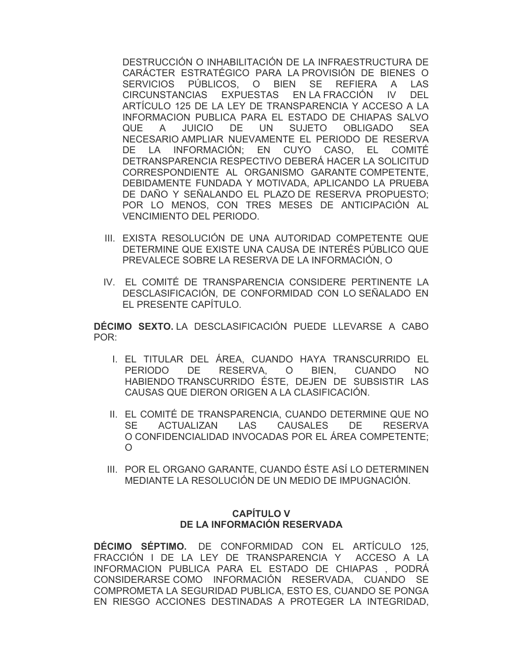DESTRUCCIÓN O INHABILITACIÓN DE LA INFRAESTRUCTURA DE CARÁCTER ESTRATÉGICO PARA LA PROVISIÓN DE BIENES O SERVICIOS PÚBLICOS, O BIEN SE REFIERA A LAS CIRCUNSTANCIAS EXPUESTAS EN LA FRACCIÓN IV DEL ARTÍCULO 125 DE LA LEY DE TRANSPARENCIA Y ACCESO A LA INFORMACION PUBLICA PARA EL ESTADO DE CHIAPAS SALVO QUE A JUICIO DE UN SUJETO OBLIGADO SEA NECESARIO AMPLIAR NUEVAMENTE EL PERIODO DE RESERVA DE LA INFORMACIÓN; EN CUYO CASO, EL COMITÉ DETRANSPARENCIA RESPECTIVO DEBERÁ HACER LA SOLICITUD CORRESPONDIENTE AL ORGANISMO GARANTE COMPETENTE, DEBIDAMENTE FUNDADA Y MOTIVADA, APLICANDO LA PRUEBA DE DAÑO Y SEÑALANDO EL PLAZO DE RESERVA PROPUESTO; POR LO MENOS, CON TRES MESES DE ANTICIPACIÓN AL VENCIMIENTO DEL PERIODO.

- III. EXISTA RESOLUCIÓN DE UNA AUTORIDAD COMPETENTE QUE DETERMINE QUE EXISTE UNA CAUSA DE INTERÉS PÚBLICO QUE PREVALECE SOBRE LA RESERVA DE LA INFORMACIÓN, O
- IV. EL COMITÉ DE TRANSPARENCIA CONSIDERE PERTINENTE LA DESCLASIFICACIÓN, DE CONFORMIDAD CON LO SEÑALADO EN EL PRESENTE CAPÍTULO.

**DÉCIMO SEXTO.** LA DESCLASIFICACIÓN PUEDE LLEVARSE A CABO POR:

- I. EL TITULAR DEL ÁREA, CUANDO HAYA TRANSCURRIDO EL PERIODO DE RESERVA, O BIEN, CUANDO NO HABIENDO TRANSCURRIDO ÉSTE, DEJEN DE SUBSISTIR LAS CAUSAS QUE DIERON ORIGEN A LA CLASIFICACIÓN.
- II. EL COMITÉ DE TRANSPARENCIA, CUANDO DETERMINE QUE NO SE ACTUALIZAN LAS CAUSALES DE RESERVA O CONFIDENCIALIDAD INVOCADAS POR EL ÁREA COMPETENTE; O
- III. POR EL ORGANO GARANTE, CUANDO ÉSTE ASÍ LO DETERMINEN MEDIANTE LA RESOLUCIÓN DE UN MEDIO DE IMPUGNACIÓN.

## **CAPÍTULO V DE LA INFORMACIÓN RESERVADA**

**DÉCIMO SÉPTIMO.** DE CONFORMIDAD CON EL ARTÍCULO 125, FRACCIÓN I DE LA LEY DE TRANSPARENCIA Y ACCESO A LA INFORMACION PUBLICA PARA EL ESTADO DE CHIAPAS , PODRÁ CONSIDERARSE COMO INFORMACIÓN RESERVADA, CUANDO SE COMPROMETA LA SEGURIDAD PUBLICA, ESTO ES, CUANDO SE PONGA EN RIESGO ACCIONES DESTINADAS A PROTEGER LA INTEGRIDAD,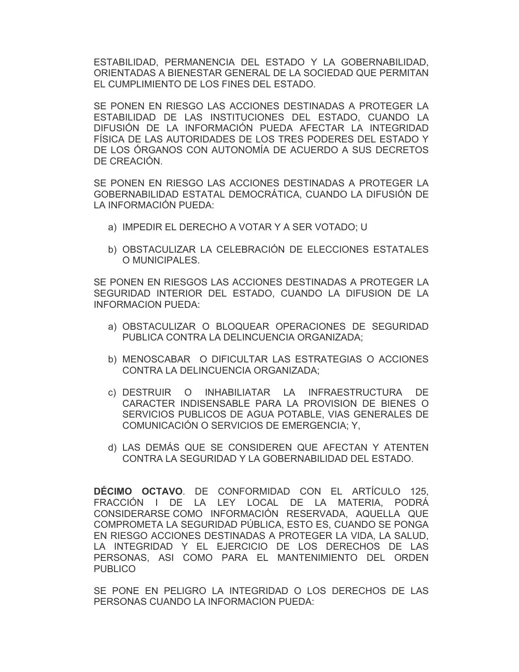ESTABILIDAD, PERMANENCIA DEL ESTADO Y LA GOBERNABILIDAD, ORIENTADAS A BIENESTAR GENERAL DE LA SOCIEDAD QUE PERMITAN EL CUMPLIMIENTO DE LOS FINES DEL ESTADO.

SE PONEN EN RIESGO LAS ACCIONES DESTINADAS A PROTEGER LA ESTABILIDAD DE LAS INSTITUCIONES DEL ESTADO, CUANDO LA DIFUSIÓN DE LA INFORMACIÓN PUEDA AFECTAR LA INTEGRIDAD FÍSICA DE LAS AUTORIDADES DE LOS TRES PODERES DEL ESTADO Y DE LOS ÓRGANOS CON AUTONOMÍA DE ACUERDO A SUS DECRETOS DE CREACIÓN.

SE PONEN EN RIESGO LAS ACCIONES DESTINADAS A PROTEGER LA GOBERNABILIDAD ESTATAL DEMOCRÁTICA, CUANDO LA DIFUSIÓN DE LA INFORMACIÓN PUEDA:

- a) IMPEDIR EL DERECHO A VOTAR Y A SER VOTADO; U
- b) OBSTACULIZAR LA CELEBRACIÓN DE ELECCIONES ESTATALES O MUNICIPALES.

SE PONEN EN RIESGOS LAS ACCIONES DESTINADAS A PROTEGER LA SEGURIDAD INTERIOR DEL ESTADO, CUANDO LA DIFUSION DE LA INFORMACION PUEDA:

- a) OBSTACULIZAR O BLOQUEAR OPERACIONES DE SEGURIDAD PUBLICA CONTRA LA DELINCUENCIA ORGANIZADA;
- b) MENOSCABAR O DIFICULTAR LAS ESTRATEGIAS O ACCIONES CONTRA LA DELINCUENCIA ORGANIZADA;
- c) DESTRUIR O INHABILIATAR LA INFRAESTRUCTURA DE CARACTER INDISENSABLE PARA LA PROVISION DE BIENES O SERVICIOS PUBLICOS DE AGUA POTABLE, VIAS GENERALES DE COMUNICACIÓN O SERVICIOS DE EMERGENCIA; Y,
- d) LAS DEMÁS QUE SE CONSIDEREN QUE AFECTAN Y ATENTEN CONTRA LA SEGURIDAD Y LA GOBERNABILIDAD DEL ESTADO.

**DÉCIMO OCTAVO**. DE CONFORMIDAD CON EL ARTÍCULO 125, FRACCIÓN I DE LA LEY LOCAL DE LA MATERIA, PODRÁ CONSIDERARSE COMO INFORMACIÓN RESERVADA, AQUELLA QUE COMPROMETA LA SEGURIDAD PÚBLICA, ESTO ES, CUANDO SE PONGA EN RIESGO ACCIONES DESTINADAS A PROTEGER LA VIDA, LA SALUD, LA INTEGRIDAD Y EL EJERCICIO DE LOS DERECHOS DE LAS PERSONAS, ASI COMO PARA EL MANTENIMIENTO DEL ORDEN **PUBLICO** 

SE PONE EN PELIGRO LA INTEGRIDAD O LOS DERECHOS DE LAS PERSONAS CUANDO LA INFORMACION PUEDA: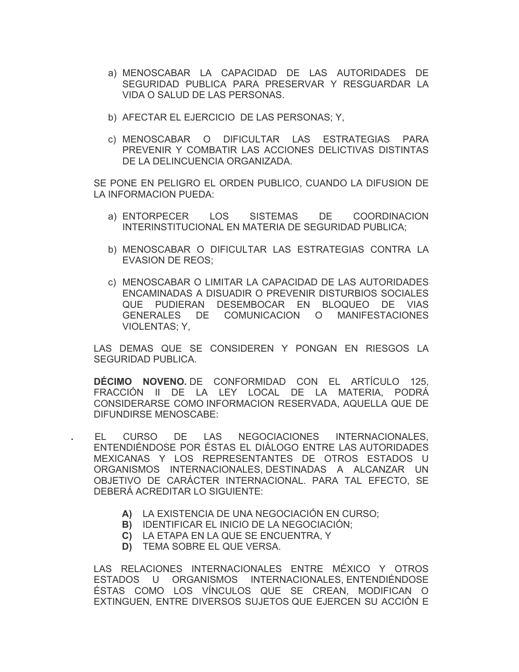- a) MENOSCABAR LA CAPACIDAD DE LAS AUTORIDADES DE SEGURIDAD PUBLICA PARA PRESERVAR Y RESGUARDAR LA VIDA O SALUD DE LAS PERSONAS.
- b) AFECTAR EL EJERCICIO DE LAS PERSONAS; Y,
- c) MENOSCABAR O DIFICULTAR LAS ESTRATEGIAS PARA PREVENIR Y COMBATIR LAS ACCIONES DELICTIVAS DISTINTAS DE LA DELINCUENCIA ORGANIZADA.

SE PONE EN PELIGRO EL ORDEN PUBLICO, CUANDO LA DIFUSION DE LA INFORMACION PUEDA:

- a) ENTORPECER LOS SISTEMAS DE COORDINACION INTERINSTITUCIONAL EN MATERIA DE SEGURIDAD PUBLICA;
- b) MENOSCABAR O DIFICULTAR LAS ESTRATEGIAS CONTRA LA EVASION DE REOS;
- c) MENOSCABAR O LIMITAR LA CAPACIDAD DE LAS AUTORIDADES ENCAMINADAS A DISUADIR O PREVENIR DISTURBIOS SOCIALES QUE PUDIERAN DESEMBOCAR EN BLOQUEO DE VIAS GENERALES DE COMUNICACION O MANIFESTACIONES VIOLENTAS; Y,

LAS DEMAS QUE SE CONSIDEREN Y PONGAN EN RIESGOS LA SEGURIDAD PUBLICA.

**DÉCIMO NOVENO.** DE CONFORMIDAD CON EL ARTÍCULO 125, FRACCIÓN II DE LA LEY LOCAL DE LA MATERIA, PODRÁ CONSIDERARSE COMO INFORMACION RESERVADA, AQUELLA QUE DE DIFUNDIRSE MENOSCABE:

**.** EL CURSO DE LAS NEGOCIACIONES INTERNACIONALES, ENTENDIÉNDOSE POR ÉSTAS EL DIÁLOGO ENTRE LAS AUTORIDADES MEXICANAS Y LOS REPRESENTANTES DE OTROS ESTADOS U ORGANISMOS INTERNACIONALES, DESTINADAS A ALCANZAR UN OBJETIVO DE CARÁCTER INTERNACIONAL. PARA TAL EFECTO, SE DEBERÁ ACREDITAR LO SIGUIENTE:

- **A)** LA EXISTENCIA DE UNA NEGOCIACIÓN EN CURSO;
- **B)** IDENTIFICAR EL INICIO DE LA NEGOCIACIÓN;
- **C)** LA ETAPA EN LA QUE SE ENCUENTRA, Y
- **D)** TEMA SOBRE EL QUE VERSA.

LAS RELACIONES INTERNACIONALES ENTRE MÉXICO Y OTROS ESTADOS U ORGANISMOS INTERNACIONALES, ENTENDIÉNDOSE ÉSTAS COMO LOS VÍNCULOS QUE SE CREAN, MODIFICAN O EXTINGUEN, ENTRE DIVERSOS SUJETOS QUE EJERCEN SU ACCIÓN E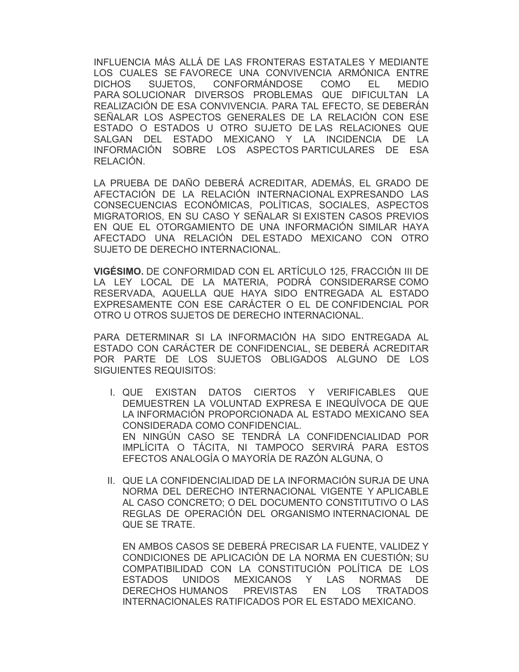INFLUENCIA MÁS ALLÁ DE LAS FRONTERAS ESTATALES Y MEDIANTE LOS CUALES SE FAVORECE UNA CONVIVENCIA ARMÓNICA ENTRE DICHOS SUJETOS, CONFORMÁNDOSE COMO EL MEDIO PARA SOLUCIONAR DIVERSOS PROBLEMAS QUE DIFICULTAN LA REALIZACIÓN DE ESA CONVIVENCIA. PARA TAL EFECTO, SE DEBERÁN SEÑALAR LOS ASPECTOS GENERALES DE LA RELACIÓN CON ESE ESTADO O ESTADOS U OTRO SUJETO DE LAS RELACIONES QUE SALGAN DEL ESTADO MEXICANO Y LA INCIDENCIA DE LA INFORMACIÓN SOBRE LOS ASPECTOS PARTICULARES DE ESA RELACIÓN.

 LA PRUEBA DE DAÑO DEBERÁ ACREDITAR, ADEMÁS, EL GRADO DE AFECTACIÓN DE LA RELACIÓN INTERNACIONAL EXPRESANDO LAS CONSECUENCIAS ECONÓMICAS, POLÍTICAS, SOCIALES, ASPECTOS MIGRATORIOS, EN SU CASO Y SEÑALAR SI EXISTEN CASOS PREVIOS EN QUE EL OTORGAMIENTO DE UNA INFORMACIÓN SIMILAR HAYA AFECTADO UNA RELACIÓN DEL ESTADO MEXICANO CON OTRO SUJETO DE DERECHO INTERNACIONAL.

**VIGÉSIMO.** DE CONFORMIDAD CON EL ARTÍCULO 125, FRACCIÓN III DE LA LEY LOCAL DE LA MATERIA, PODRÁ CONSIDERARSE COMO RESERVADA, AQUELLA QUE HAYA SIDO ENTREGADA AL ESTADO EXPRESAMENTE CON ESE CARÁCTER O EL DE CONFIDENCIAL POR OTRO U OTROS SUJETOS DE DERECHO INTERNACIONAL.

 PARA DETERMINAR SI LA INFORMACIÓN HA SIDO ENTREGADA AL ESTADO CON CARÁCTER DE CONFIDENCIAL, SE DEBERÁ ACREDITAR POR PARTE DE LOS SUJETOS OBLIGADOS ALGUNO DE LOS SIGUIENTES REQUISITOS:

- I. QUE EXISTAN DATOS CIERTOS Y VERIFICABLES QUE DEMUESTREN LA VOLUNTAD EXPRESA E INEQUÍVOCA DE QUE LA INFORMACIÓN PROPORCIONADA AL ESTADO MEXICANO SEA CONSIDERADA COMO CONFIDENCIAL. EN NINGÚN CASO SE TENDRÁ LA CONFIDENCIALIDAD POR IMPLÍCITA O TÁCITA, NI TAMPOCO SERVIRÁ PARA ESTOS EFECTOS ANALOGÍA O MAYORÍA DE RAZÓN ALGUNA, O
- II. QUE LA CONFIDENCIALIDAD DE LA INFORMACIÓN SURJA DE UNA NORMA DEL DERECHO INTERNACIONAL VIGENTE Y APLICABLE AL CASO CONCRETO; O DEL DOCUMENTO CONSTITUTIVO O LAS REGLAS DE OPERACIÓN DEL ORGANISMO INTERNACIONAL DE QUE SE TRATE.

EN AMBOS CASOS SE DEBERÁ PRECISAR LA FUENTE, VALIDEZ Y CONDICIONES DE APLICACIÓN DE LA NORMA EN CUESTIÓN; SU COMPATIBILIDAD CON LA CONSTITUCIÓN POLÍTICA DE LOS ESTADOS UNIDOS MEXICANOS Y LAS NORMAS DE DERECHOS HUMANOS PREVISTAS EN LOS TRATADOS INTERNACIONALES RATIFICADOS POR EL ESTADO MEXICANO.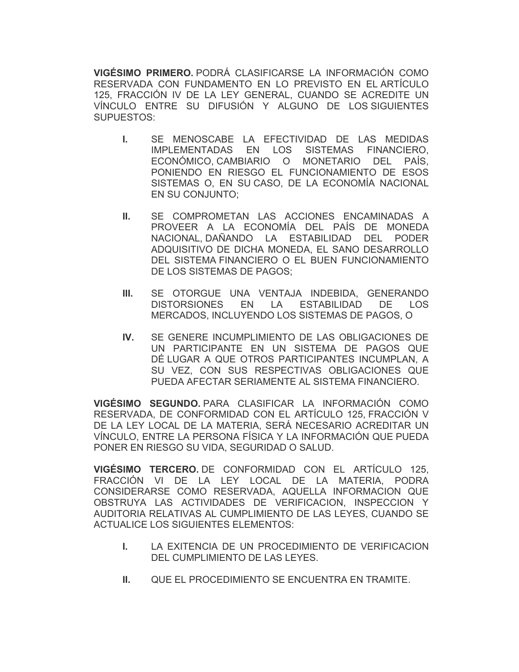**VIGÉSIMO PRIMERO.** PODRÁ CLASIFICARSE LA INFORMACIÓN COMO RESERVADA CON FUNDAMENTO EN LO PREVISTO EN EL ARTÍCULO 125, FRACCIÓN IV DE LA LEY GENERAL, CUANDO SE ACREDITE UN VÍNCULO ENTRE SU DIFUSIÓN Y ALGUNO DE LOS SIGUIENTES SUPUESTOS:

- **I.** SE MENOSCABE LA EFECTIVIDAD DE LAS MEDIDAS IMPLEMENTADAS EN LOS SISTEMAS FINANCIERO, ECONÓMICO, CAMBIARIO O MONETARIO DEL PAÍS, PONIENDO EN RIESGO EL FUNCIONAMIENTO DE ESOS SISTEMAS O, EN SU CASO, DE LA ECONOMÍA NACIONAL EN SU CONJUNTO;
- **II.** SE COMPROMETAN LAS ACCIONES ENCAMINADAS A PROVEER A LA ECONOMÍA DEL PAÍS DE MONEDA NACIONAL, DAÑANDO LA ESTABILIDAD DEL PODER ADQUISITIVO DE DICHA MONEDA, EL SANO DESARROLLO DEL SISTEMA FINANCIERO O EL BUEN FUNCIONAMIENTO DE LOS SISTEMAS DE PAGOS;
- **III.** SE OTORGUE UNA VENTAJA INDEBIDA, GENERANDO DISTORSIONES EN LA ESTABILIDAD DE LOS MERCADOS, INCLUYENDO LOS SISTEMAS DE PAGOS, O
- **IV.** SE GENERE INCUMPLIMIENTO DE LAS OBLIGACIONES DE UN PARTICIPANTE EN UN SISTEMA DE PAGOS QUE DÉ LUGAR A QUE OTROS PARTICIPANTES INCUMPLAN, A SU VEZ, CON SUS RESPECTIVAS OBLIGACIONES QUE PUEDA AFECTAR SERIAMENTE AL SISTEMA FINANCIERO.

**VIGÉSIMO SEGUNDO.** PARA CLASIFICAR LA INFORMACIÓN COMO RESERVADA, DE CONFORMIDAD CON EL ARTÍCULO 125, FRACCIÓN V DE LA LEY LOCAL DE LA MATERIA, SERÁ NECESARIO ACREDITAR UN VÍNCULO, ENTRE LA PERSONA FÍSICA Y LA INFORMACIÓN QUE PUEDA PONER EN RIESGO SU VIDA, SEGURIDAD O SALUD.

**VIGÉSIMO TERCERO.** DE CONFORMIDAD CON EL ARTÍCULO 125, FRACCIÓN VI DE LA LEY LOCAL DE LA MATERIA, PODRA CONSIDERARSE COMO RESERVADA, AQUELLA INFORMACION QUE OBSTRUYA LAS ACTIVIDADES DE VERIFICACION, INSPECCION Y AUDITORIA RELATIVAS AL CUMPLIMIENTO DE LAS LEYES, CUANDO SE ACTUALICE LOS SIGUIENTES ELEMENTOS:

- **I.** LA EXITENCIA DE UN PROCEDIMIENTO DE VERIFICACION DEL CUMPLIMIENTO DE LAS LEYES.
- **II. QUE EL PROCEDIMIENTO SE ENCUENTRA EN TRAMITE.**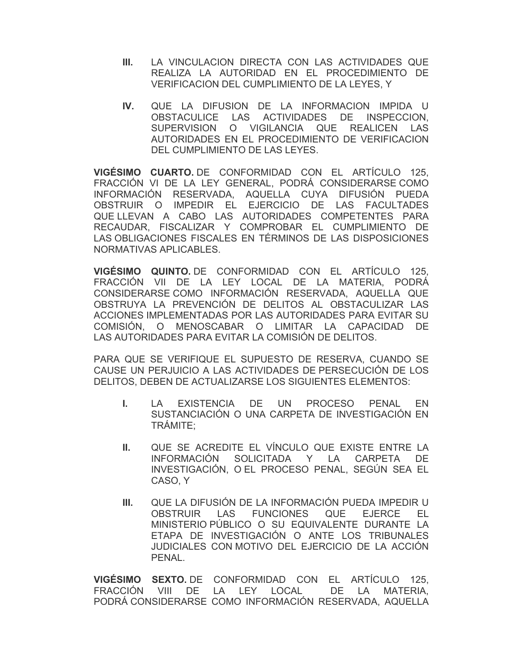- **III.** LA VINCULACION DIRECTA CON LAS ACTIVIDADES QUE REALIZA LA AUTORIDAD EN EL PROCEDIMIENTO DE VERIFICACION DEL CUMPLIMIENTO DE LA LEYES, Y
- **IV.** QUE LA DIFUSION DE LA INFORMACION IMPIDA U OBSTACULICE LAS ACTIVIDADES DE INSPECCION, SUPERVISION O VIGILANCIA QUE REALICEN LAS AUTORIDADES EN EL PROCEDIMIENTO DE VERIFICACION DEL CUMPLIMIENTO DE LAS LEYES.

**VIGÉSIMO CUARTO.** DE CONFORMIDAD CON EL ARTÍCULO 125, FRACCIÓN VI DE LA LEY GENERAL, PODRÁ CONSIDERARSE COMO INFORMACIÓN RESERVADA, AQUELLA CUYA DIFUSIÓN PUEDA OBSTRUIR O IMPEDIR EL EJERCICIO DE LAS FACULTADES QUE LLEVAN A CABO LAS AUTORIDADES COMPETENTES PARA RECAUDAR, FISCALIZAR Y COMPROBAR EL CUMPLIMIENTO DE LAS OBLIGACIONES FISCALES EN TÉRMINOS DE LAS DISPOSICIONES NORMATIVAS APLICABLES.

**VIGÉSIMO QUINTO.** DE CONFORMIDAD CON EL ARTÍCULO 125, FRACCIÓN VII DE LA LEY LOCAL DE LA MATERIA, PODRÁ CONSIDERARSE COMO INFORMACIÓN RESERVADA, AQUELLA QUE OBSTRUYA LA PREVENCIÓN DE DELITOS AL OBSTACULIZAR LAS ACCIONES IMPLEMENTADAS POR LAS AUTORIDADES PARA EVITAR SU COMISIÓN, O MENOSCABAR O LIMITAR LA CAPACIDAD DE LAS AUTORIDADES PARA EVITAR LA COMISIÓN DE DELITOS.

PARA QUE SE VERIFIQUE EL SUPUESTO DE RESERVA, CUANDO SE CAUSE UN PERJUICIO A LAS ACTIVIDADES DE PERSECUCIÓN DE LOS DELITOS, DEBEN DE ACTUALIZARSE LOS SIGUIENTES ELEMENTOS:

- **I.** LA EXISTENCIA DE UN PROCESO PENAL EN SUSTANCIACIÓN O UNA CARPETA DE INVESTIGACIÓN EN TRÁMITE;
- **II.** QUE SE ACREDITE EL VÍNCULO QUE EXISTE ENTRE LA INFORMACIÓN SOLICITADA Y LA CARPETA DE INVESTIGACIÓN, O EL PROCESO PENAL, SEGÚN SEA EL CASO, Y
- **III.** QUE LA DIFUSIÓN DE LA INFORMACIÓN PUEDA IMPEDIR U OBSTRUIR LAS FUNCIONES QUE EJERCE EL MINISTERIO PÚBLICO O SU EQUIVALENTE DURANTE LA ETAPA DE INVESTIGACIÓN O ANTE LOS TRIBUNALES JUDICIALES CON MOTIVO DEL EJERCICIO DE LA ACCIÓN PENAL.

**VIGÉSIMO SEXTO.** DE CONFORMIDAD CON EL ARTÍCULO 125, FRACCIÓN VIII DE LA LEY LOCAL DE LA MATERIA, PODRÁ CONSIDERARSE COMO INFORMACIÓN RESERVADA, AQUELLA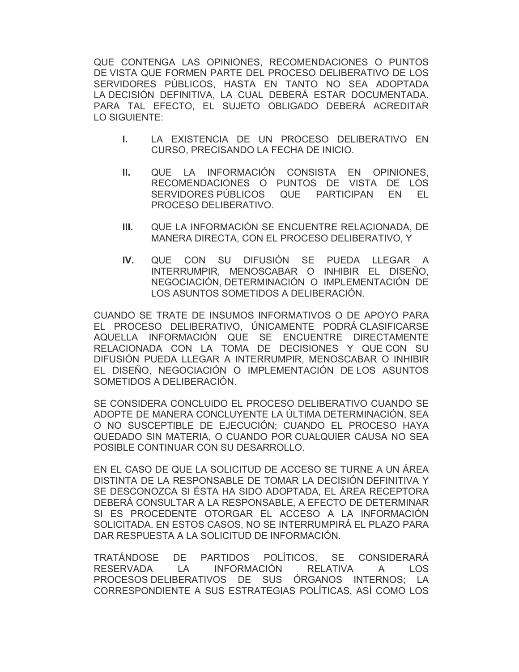QUE CONTENGA LAS OPINIONES, RECOMENDACIONES O PUNTOS DE VISTA QUE FORMEN PARTE DEL PROCESO DELIBERATIVO DE LOS SERVIDORES PÚBLICOS, HASTA EN TANTO NO SEA ADOPTADA LA DECISIÓN DEFINITIVA, LA CUAL DEBERÁ ESTAR DOCUMENTADA. PARA TAL EFECTO, EL SUJETO OBLIGADO DEBERÁ ACREDITAR LO SIGUIENTE:

- **I.** LA EXISTENCIA DE UN PROCESO DELIBERATIVO EN CURSO, PRECISANDO LA FECHA DE INICIO.
- **II.** QUE LA INFORMACIÓN CONSISTA EN OPINIONES, RECOMENDACIONES O PUNTOS DE VISTA DE LOS SERVIDORES PÚBLICOS QUE PARTICIPAN EN EL PROCESO DELIBERATIVO.
- **III.** QUE LA INFORMACIÓN SE ENCUENTRE RELACIONADA, DE MANERA DIRECTA, CON EL PROCESO DELIBERATIVO, Y
- **IV.** QUE CON SU DIFUSIÓN SE PUEDA LLEGAR A INTERRUMPIR, MENOSCABAR O INHIBIR EL DISEÑO, NEGOCIACIÓN, DETERMINACIÓN O IMPLEMENTACIÓN DE LOS ASUNTOS SOMETIDOS A DELIBERACIÓN.

CUANDO SE TRATE DE INSUMOS INFORMATIVOS O DE APOYO PARA EL PROCESO DELIBERATIVO, ÚNICAMENTE PODRÁ CLASIFICARSE AQUELLA INFORMACIÓN QUE SE ENCUENTRE DIRECTAMENTE RELACIONADA CON LA TOMA DE DECISIONES Y QUE CON SU DIFUSIÓN PUEDA LLEGAR A INTERRUMPIR, MENOSCABAR O INHIBIR EL DISEÑO, NEGOCIACIÓN O IMPLEMENTACIÓN DE LOS ASUNTOS SOMETIDOS A DELIBERACIÓN.

SE CONSIDERA CONCLUIDO EL PROCESO DELIBERATIVO CUANDO SE ADOPTE DE MANERA CONCLUYENTE LA ÚLTIMA DETERMINACIÓN, SEA O NO SUSCEPTIBLE DE EJECUCIÓN; CUANDO EL PROCESO HAYA QUEDADO SIN MATERIA, O CUANDO POR CUALQUIER CAUSA NO SEA POSIBLE CONTINUAR CON SU DESARROLLO.

EN EL CASO DE QUE LA SOLICITUD DE ACCESO SE TURNE A UN ÁREA DISTINTA DE LA RESPONSABLE DE TOMAR LA DECISIÓN DEFINITIVA Y SE DESCONOZCA SI ÉSTA HA SIDO ADOPTADA, EL ÁREA RECEPTORA DEBERÁ CONSULTAR A LA RESPONSABLE, A EFECTO DE DETERMINAR SI ES PROCEDENTE OTORGAR EL ACCESO A LA INFORMACIÓN SOLICITADA. EN ESTOS CASOS, NO SE INTERRUMPIRÁ EL PLAZO PARA DAR RESPUESTA A LA SOLICITUD DE INFORMACIÓN.

TRATÁNDOSE DE PARTIDOS POLÍTICOS, SE CONSIDERARÁ RESERVADA LA INFORMACIÓN RELATIVA A LOS PROCESOS DELIBERATIVOS DE SUS ÓRGANOS INTERNOS; LA CORRESPONDIENTE A SUS ESTRATEGIAS POLÍTICAS, ASÍ COMO LOS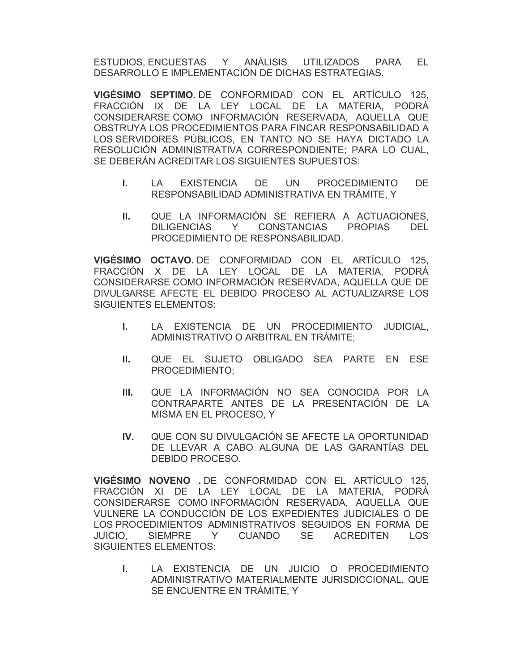ESTUDIOS, ENCUESTAS Y ANÁLISIS UTILIZADOS PARA EL DESARROLLO E IMPLEMENTACIÓN DE DICHAS ESTRATEGIAS.

**VIGÉSIMO SEPTIMO.** DE CONFORMIDAD CON EL ARTÍCULO 125, FRACCIÓN IX DE LA LEY LOCAL DE LA MATERIA, PODRÁ CONSIDERARSE COMO INFORMACIÓN RESERVADA, AQUELLA QUE OBSTRUYA LOS PROCEDIMIENTOS PARA FINCAR RESPONSABILIDAD A LOS SERVIDORES PÚBLICOS, EN TANTO NO SE HAYA DICTADO LA RESOLUCIÓN ADMINISTRATIVA CORRESPONDIENTE; PARA LO CUAL, SE DEBERÁN ACREDITAR LOS SIGUIENTES SUPUESTOS:

- **I.** LA EXISTENCIA DE UN PROCEDIMIENTO DE RESPONSABILIDAD ADMINISTRATIVA EN TRÁMITE, Y
- **II.** QUE LA INFORMACIÓN SE REFIERA A ACTUACIONES, DILIGENCIAS Y CONSTANCIAS PROPIAS DEL PROCEDIMIENTO DE RESPONSABILIDAD.

**VIGÉSIMO OCTAVO.** DE CONFORMIDAD CON EL ARTÍCULO 125, FRACCIÓN X DE LA LEY LOCAL DE LA MATERIA, PODRÁ CONSIDERARSE COMO INFORMACIÓN RESERVADA, AQUELLA QUE DE DIVULGARSE AFECTE EL DEBIDO PROCESO AL ACTUALIZARSE LOS SIGUIENTES ELEMENTOS:

- **I.** LA EXISTENCIA DE UN PROCEDIMIENTO JUDICIAL, ADMINISTRATIVO O ARBITRAL EN TRÁMITE;
- **II.** QUE EL SUJETO OBLIGADO SEA PARTE EN ESE PROCEDIMIENTO;
- **III.** QUE LA INFORMACIÓN NO SEA CONOCIDA POR LA CONTRAPARTE ANTES DE LA PRESENTACIÓN DE LA MISMA EN EL PROCESO, Y
- **IV.** QUE CON SU DIVULGACIÓN SE AFECTE LA OPORTUNIDAD DE LLEVAR A CABO ALGUNA DE LAS GARANTÍAS DEL DEBIDO PROCESO.

**VIGÉSIMO NOVENO .** DE CONFORMIDAD CON EL ARTÍCULO 125, FRACCIÓN XI DE LA LEY LOCAL DE LA MATERIA, PODRÁ CONSIDERARSE COMO INFORMACIÓN RESERVADA, AQUELLA QUE VULNERE LA CONDUCCIÓN DE LOS EXPEDIENTES JUDICIALES O DE LOS PROCEDIMIENTOS ADMINISTRATIVOS SEGUIDOS EN FORMA DE JUICIO, SIEMPRE Y CUANDO SE ACREDITEN LOS SIGUIENTES ELEMENTOS:

**I.** LA EXISTENCIA DE UN JUICIO O PROCEDIMIENTO ADMINISTRATIVO MATERIALMENTE JURISDICCIONAL, QUE SE ENCUENTRE EN TRÁMITE, Y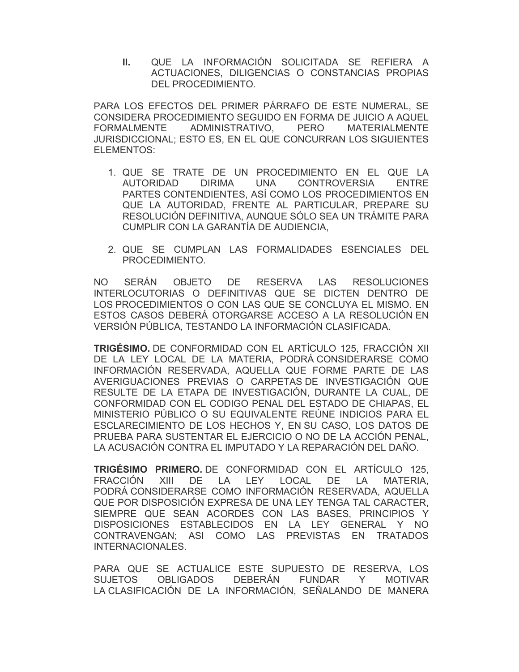**II.** QUE LA INFORMACIÓN SOLICITADA SE REFIERA A ACTUACIONES, DILIGENCIAS O CONSTANCIAS PROPIAS DEL PROCEDIMIENTO.

PARA LOS EFECTOS DEL PRIMER PÁRRAFO DE ESTE NUMERAL, SE CONSIDERA PROCEDIMIENTO SEGUIDO EN FORMA DE JUICIO A AQUEL FORMALMENTE ADMINISTRATIVO, PERO MATERIALMENTE JURISDICCIONAL; ESTO ES, EN EL QUE CONCURRAN LOS SIGUIENTES ELEMENTOS:

- 1. QUE SE TRATE DE UN PROCEDIMIENTO EN EL QUE LA AUTORIDAD DIRIMA UNA CONTROVERSIA ENTRE PARTES CONTENDIENTES, ASÍ COMO LOS PROCEDIMIENTOS EN QUE LA AUTORIDAD, FRENTE AL PARTICULAR, PREPARE SU RESOLUCIÓN DEFINITIVA, AUNQUE SÓLO SEA UN TRÁMITE PARA CUMPLIR CON LA GARANTÍA DE AUDIENCIA,
- 2. QUE SE CUMPLAN LAS FORMALIDADES ESENCIALES DEL PROCEDIMIENTO.

NO SERÁN OBJETO DE RESERVA LAS RESOLUCIONES INTERLOCUTORIAS O DEFINITIVAS QUE SE DICTEN DENTRO DE LOS PROCEDIMIENTOS O CON LAS QUE SE CONCLUYA EL MISMO. EN ESTOS CASOS DEBERÁ OTORGARSE ACCESO A LA RESOLUCIÓN EN VERSIÓN PÚBLICA, TESTANDO LA INFORMACIÓN CLASIFICADA.

**TRIGÉSIMO.** DE CONFORMIDAD CON EL ARTÍCULO 125, FRACCIÓN XII DE LA LEY LOCAL DE LA MATERIA, PODRÁ CONSIDERARSE COMO INFORMACIÓN RESERVADA, AQUELLA QUE FORME PARTE DE LAS AVERIGUACIONES PREVIAS O CARPETAS DE INVESTIGACIÓN QUE RESULTE DE LA ETAPA DE INVESTIGACIÓN, DURANTE LA CUAL, DE CONFORMIDAD CON EL CODIGO PENAL DEL ESTADO DE CHIAPAS, EL MINISTERIO PÚBLICO O SU EQUIVALENTE REÚNE INDICIOS PARA EL ESCLARECIMIENTO DE LOS HECHOS Y, EN SU CASO, LOS DATOS DE PRUEBA PARA SUSTENTAR EL EJERCICIO O NO DE LA ACCIÓN PENAL, LA ACUSACIÓN CONTRA EL IMPUTADO Y LA REPARACIÓN DEL DAÑO.

**TRIGÉSIMO PRIMERO.** DE CONFORMIDAD CON EL ARTÍCULO 125, FRACCIÓN XIII DE LA LEY LOCAL DE LA MATERIA, PODRÁ CONSIDERARSE COMO INFORMACIÓN RESERVADA, AQUELLA QUE POR DISPOSICIÓN EXPRESA DE UNA LEY TENGA TAL CARACTER, SIEMPRE QUE SEAN ACORDES CON LAS BASES, PRINCIPIOS Y DISPOSICIONES ESTABLECIDOS EN LA LEY GENERAL Y NO CONTRAVENGAN; ASI COMO LAS PREVISTAS EN TRATADOS INTERNACIONALES.

PARA QUE SE ACTUALICE ESTE SUPUESTO DE RESERVA, LOS SUJETOS OBLIGADOS DEBERÁN FUNDAR Y MOTIVAR LA CLASIFICACIÓN DE LA INFORMACIÓN, SEÑALANDO DE MANERA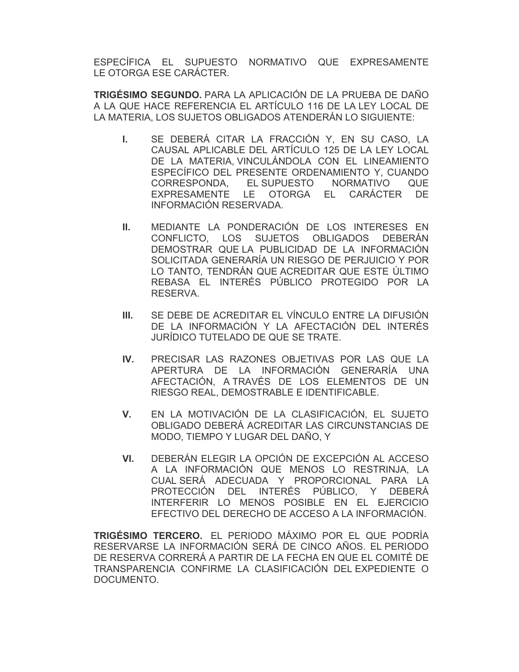ESPECÍFICA EL SUPUESTO NORMATIVO QUE EXPRESAMENTE LE OTORGA ESE CARÁCTER.

**TRIGÉSIMO SEGUNDO.** PARA LA APLICACIÓN DE LA PRUEBA DE DAÑO A LA QUE HACE REFERENCIA EL ARTÍCULO 116 DE LA LEY LOCAL DE LA MATERIA, LOS SUJETOS OBLIGADOS ATENDERÁN LO SIGUIENTE:

- **I.** SE DEBERÁ CITAR LA FRACCIÓN Y, EN SU CASO, LA CAUSAL APLICABLE DEL ARTÍCULO 125 DE LA LEY LOCAL DE LA MATERIA, VINCULÁNDOLA CON EL LINEAMIENTO ESPECÍFICO DEL PRESENTE ORDENAMIENTO Y, CUANDO CORRESPONDA, EL SUPUESTO NORMATIVO QUE EXPRESAMENTE LE OTORGA EL CARÁCTER DE INFORMACIÓN RESERVADA.
- **II.** MEDIANTE LA PONDERACIÓN DE LOS INTERESES EN CONFLICTO, LOS SUJETOS OBLIGADOS DEBERÁN DEMOSTRAR QUE LA PUBLICIDAD DE LA INFORMACIÓN SOLICITADA GENERARÍA UN RIESGO DE PERJUICIO Y POR LO TANTO, TENDRÁN QUE ACREDITAR QUE ESTE ÚLTIMO REBASA EL INTERÉS PÚBLICO PROTEGIDO POR LA RESERVA.
- **III.** SE DEBE DE ACREDITAR EL VÍNCULO ENTRE LA DIFUSIÓN DE LA INFORMACIÓN Y LA AFECTACIÓN DEL INTERÉS JURÍDICO TUTELADO DE QUE SE TRATE.
- **IV.** PRECISAR LAS RAZONES OBJETIVAS POR LAS QUE LA APERTURA DE LA INFORMACIÓN GENERARÍA UNA AFECTACIÓN, A TRAVÉS DE LOS ELEMENTOS DE UN RIESGO REAL, DEMOSTRABLE E IDENTIFICABLE.
- **V.** EN LA MOTIVACIÓN DE LA CLASIFICACIÓN, EL SUJETO OBLIGADO DEBERÁ ACREDITAR LAS CIRCUNSTANCIAS DE MODO, TIEMPO Y LUGAR DEL DAÑO, Y
- **VI.** DEBERÁN ELEGIR LA OPCIÓN DE EXCEPCIÓN AL ACCESO A LA INFORMACIÓN QUE MENOS LO RESTRINJA, LA CUAL SERÁ ADECUADA Y PROPORCIONAL PARA LA PROTECCIÓN DEL INTERÉS PÚBLICO, Y DEBERÁ INTERFERIR LO MENOS POSIBLE EN EL EJERCICIO EFECTIVO DEL DERECHO DE ACCESO A LA INFORMACIÓN.

**TRIGÉSIMO TERCERO.** EL PERIODO MÁXIMO POR EL QUE PODRÍA RESERVARSE LA INFORMACIÓN SERÁ DE CINCO AÑOS. EL PERIODO DE RESERVA CORRERÁ A PARTIR DE LA FECHA EN QUE EL COMITÉ DE TRANSPARENCIA CONFIRME LA CLASIFICACIÓN DEL EXPEDIENTE O DOCUMENTO.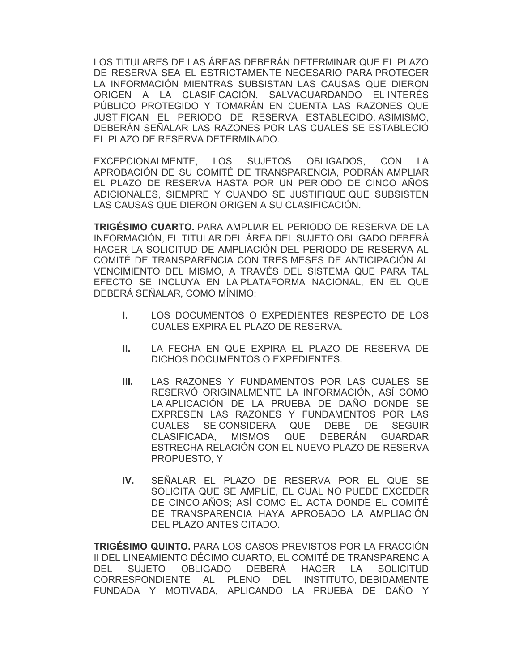LOS TITULARES DE LAS ÁREAS DEBERÁN DETERMINAR QUE EL PLAZO DE RESERVA SEA EL ESTRICTAMENTE NECESARIO PARA PROTEGER LA INFORMACIÓN MIENTRAS SUBSISTAN LAS CAUSAS QUE DIERON ORIGEN A LA CLASIFICACIÓN, SALVAGUARDANDO EL INTERÉS PÚBLICO PROTEGIDO Y TOMARÁN EN CUENTA LAS RAZONES QUE JUSTIFICAN EL PERIODO DE RESERVA ESTABLECIDO. ASIMISMO, DEBERÁN SEÑALAR LAS RAZONES POR LAS CUALES SE ESTABLECIÓ EL PLAZO DE RESERVA DETERMINADO.

EXCEPCIONALMENTE, LOS SUJETOS OBLIGADOS, CON LA APROBACIÓN DE SU COMITÉ DE TRANSPARENCIA, PODRÁN AMPLIAR EL PLAZO DE RESERVA HASTA POR UN PERIODO DE CINCO AÑOS ADICIONALES, SIEMPRE Y CUANDO SE JUSTIFIQUE QUE SUBSISTEN LAS CAUSAS QUE DIERON ORIGEN A SU CLASIFICACIÓN.

**TRIGÉSIMO CUARTO.** PARA AMPLIAR EL PERIODO DE RESERVA DE LA INFORMACIÓN, EL TITULAR DEL ÁREA DEL SUJETO OBLIGADO DEBERÁ HACER LA SOLICITUD DE AMPLIACIÓN DEL PERIODO DE RESERVA AL COMITÉ DE TRANSPARENCIA CON TRES MESES DE ANTICIPACIÓN AL VENCIMIENTO DEL MISMO, A TRAVÉS DEL SISTEMA QUE PARA TAL EFECTO SE INCLUYA EN LA PLATAFORMA NACIONAL, EN EL QUE DEBERÁ SEÑALAR, COMO MÍNIMO:

- **I.** LOS DOCUMENTOS O EXPEDIENTES RESPECTO DE LOS CUALES EXPIRA EL PLAZO DE RESERVA.
- **II.** LA FECHA EN QUE EXPIRA EL PLAZO DE RESERVA DE DICHOS DOCUMENTOS O EXPEDIENTES.
- **III.** LAS RAZONES Y FUNDAMENTOS POR LAS CUALES SE RESERVÓ ORIGINALMENTE LA INFORMACIÓN, ASÍ COMO LA APLICACIÓN DE LA PRUEBA DE DAÑO DONDE SE EXPRESEN LAS RAZONES Y FUNDAMENTOS POR LAS CUALES SE CONSIDERA QUE DEBE DE SEGUIR CLASIFICADA, MISMOS QUE DEBERÁN GUARDAR ESTRECHA RELACIÓN CON EL NUEVO PLAZO DE RESERVA PROPUESTO, Y
- **IV.** SEÑALAR EL PLAZO DE RESERVA POR EL QUE SE SOLICITA QUE SE AMPLÍE, EL CUAL NO PUEDE EXCEDER DE CINCO AÑOS; ASÍ COMO EL ACTA DONDE EL COMITÉ DE TRANSPARENCIA HAYA APROBADO LA AMPLIACIÓN DEL PLAZO ANTES CITADO.

**TRIGÉSIMO QUINTO.** PARA LOS CASOS PREVISTOS POR LA FRACCIÓN II DEL LINEAMIENTO DÉCIMO CUARTO, EL COMITÉ DE TRANSPARENCIA DEL SUJETO OBLIGADO DEBERÁ HACER LA SOLICITUD CORRESPONDIENTE AL PLENO DEL INSTITUTO, DEBIDAMENTE FUNDADA Y MOTIVADA, APLICANDO LA PRUEBA DE DAÑO Y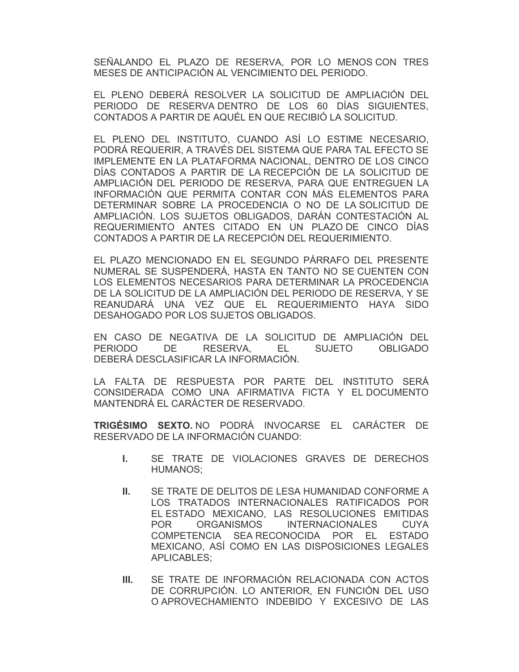SEÑALANDO EL PLAZO DE RESERVA, POR LO MENOS CON TRES MESES DE ANTICIPACIÓN AL VENCIMIENTO DEL PERIODO.

EL PLENO DEBERÁ RESOLVER LA SOLICITUD DE AMPLIACIÓN DEL PERIODO DE RESERVA DENTRO DE LOS 60 DÍAS SIGUIENTES, CONTADOS A PARTIR DE AQUÉL EN QUE RECIBIÓ LA SOLICITUD.

EL PLENO DEL INSTITUTO, CUANDO ASÍ LO ESTIME NECESARIO, PODRÁ REQUERIR, A TRAVÉS DEL SISTEMA QUE PARA TAL EFECTO SE IMPLEMENTE EN LA PLATAFORMA NACIONAL, DENTRO DE LOS CINCO DÍAS CONTADOS A PARTIR DE LA RECEPCIÓN DE LA SOLICITUD DE AMPLIACIÓN DEL PERIODO DE RESERVA, PARA QUE ENTREGUEN LA INFORMACIÓN QUE PERMITA CONTAR CON MÁS ELEMENTOS PARA DETERMINAR SOBRE LA PROCEDENCIA O NO DE LA SOLICITUD DE AMPLIACIÓN. LOS SUJETOS OBLIGADOS, DARÁN CONTESTACIÓN AL REQUERIMIENTO ANTES CITADO EN UN PLAZO DE CINCO DÍAS CONTADOS A PARTIR DE LA RECEPCIÓN DEL REQUERIMIENTO.

EL PLAZO MENCIONADO EN EL SEGUNDO PÁRRAFO DEL PRESENTE NUMERAL SE SUSPENDERÁ, HASTA EN TANTO NO SE CUENTEN CON LOS ELEMENTOS NECESARIOS PARA DETERMINAR LA PROCEDENCIA DE LA SOLICITUD DE LA AMPLIACIÓN DEL PERIODO DE RESERVA, Y SE REANUDARÁ UNA VEZ QUE EL REQUERIMIENTO HAYA SIDO DESAHOGADO POR LOS SUJETOS OBLIGADOS.

EN CASO DE NEGATIVA DE LA SOLICITUD DE AMPLIACIÓN DEL PERIODO DE RESERVA, EL SUJETO OBLIGADO DEBERÁ DESCLASIFICAR LA INFORMACIÓN.

LA FALTA DE RESPUESTA POR PARTE DEL INSTITUTO SERÁ CONSIDERADA COMO UNA AFIRMATIVA FICTA Y EL DOCUMENTO MANTENDRÁ EL CARÁCTER DE RESERVADO.

**TRIGÉSIMO SEXTO.** NO PODRÁ INVOCARSE EL CARÁCTER DE RESERVADO DE LA INFORMACIÓN CUANDO:

- **I.** SE TRATE DE VIOLACIONES GRAVES DE DERECHOS HUMANOS;
- **II.** SE TRATE DE DELITOS DE LESA HUMANIDAD CONFORME A LOS TRATADOS INTERNACIONALES RATIFICADOS POR EL ESTADO MEXICANO, LAS RESOLUCIONES EMITIDAS POR ORGANISMOS INTERNACIONALES CUYA COMPETENCIA SEA RECONOCIDA POR EL ESTADO MEXICANO, ASÍ COMO EN LAS DISPOSICIONES LEGALES APLICABLES;
- **III.** SE TRATE DE INFORMACIÓN RELACIONADA CON ACTOS DE CORRUPCIÓN. LO ANTERIOR, EN FUNCIÓN DEL USO O APROVECHAMIENTO INDEBIDO Y EXCESIVO DE LAS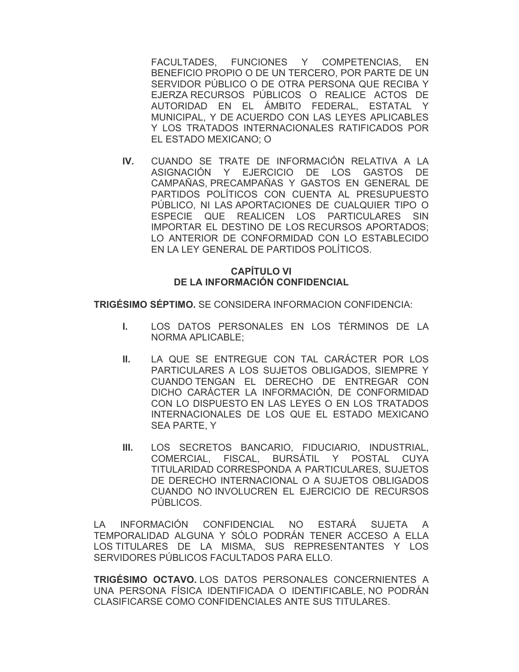FACULTADES, FUNCIONES Y COMPETENCIAS, EN BENEFICIO PROPIO O DE UN TERCERO, POR PARTE DE UN SERVIDOR PÚBLICO O DE OTRA PERSONA QUE RECIBA Y EJERZA RECURSOS PÚBLICOS O REALICE ACTOS DE AUTORIDAD EN EL ÁMBITO FEDERAL, ESTATAL Y MUNICIPAL, Y DE ACUERDO CON LAS LEYES APLICABLES Y LOS TRATADOS INTERNACIONALES RATIFICADOS POR EL ESTADO MEXICANO; O

**IV.** CUANDO SE TRATE DE INFORMACIÓN RELATIVA A LA ASIGNACIÓN Y EJERCICIO DE LOS GASTOS DE CAMPAÑAS, PRECAMPAÑAS Y GASTOS EN GENERAL DE PARTIDOS POLÍTICOS CON CUENTA AL PRESUPUESTO PÚBLICO, NI LAS APORTACIONES DE CUALQUIER TIPO O ESPECIE QUE REALICEN LOS PARTICULARES SIN IMPORTAR EL DESTINO DE LOS RECURSOS APORTADOS; LO ANTERIOR DE CONFORMIDAD CON LO ESTABLECIDO EN LA LEY GENERAL DE PARTIDOS POLÍTICOS.

#### **CAPÍTULO VI DE LA INFORMACIÓN CONFIDENCIAL**

**TRIGÉSIMO SÉPTIMO.** SE CONSIDERA INFORMACION CONFIDENCIA:

- **I.** LOS DATOS PERSONALES EN LOS TÉRMINOS DE LA NORMA APLICABLE;
- **II.** LA QUE SE ENTREGUE CON TAL CARÁCTER POR LOS PARTICULARES A LOS SUJETOS OBLIGADOS, SIEMPRE Y CUANDO TENGAN EL DERECHO DE ENTREGAR CON DICHO CARÁCTER LA INFORMACIÓN, DE CONFORMIDAD CON LO DISPUESTO EN LAS LEYES O EN LOS TRATADOS INTERNACIONALES DE LOS QUE EL ESTADO MEXICANO SEA PARTE, Y
- **III.** LOS SECRETOS BANCARIO, FIDUCIARIO, INDUSTRIAL, COMERCIAL, FISCAL, BURSÁTIL Y POSTAL CUYA TITULARIDAD CORRESPONDA A PARTICULARES, SUJETOS DE DERECHO INTERNACIONAL O A SUJETOS OBLIGADOS CUANDO NO INVOLUCREN EL EJERCICIO DE RECURSOS PÚBLICOS.

LA INFORMACIÓN CONFIDENCIAL NO ESTARÁ SUJETA A TEMPORALIDAD ALGUNA Y SÓLO PODRÁN TENER ACCESO A ELLA LOS TITULARES DE LA MISMA, SUS REPRESENTANTES Y LOS SERVIDORES PÚBLICOS FACULTADOS PARA ELLO.

**TRIGÉSIMO OCTAVO.** LOS DATOS PERSONALES CONCERNIENTES A UNA PERSONA FÍSICA IDENTIFICADA O IDENTIFICABLE, NO PODRÁN CLASIFICARSE COMO CONFIDENCIALES ANTE SUS TITULARES.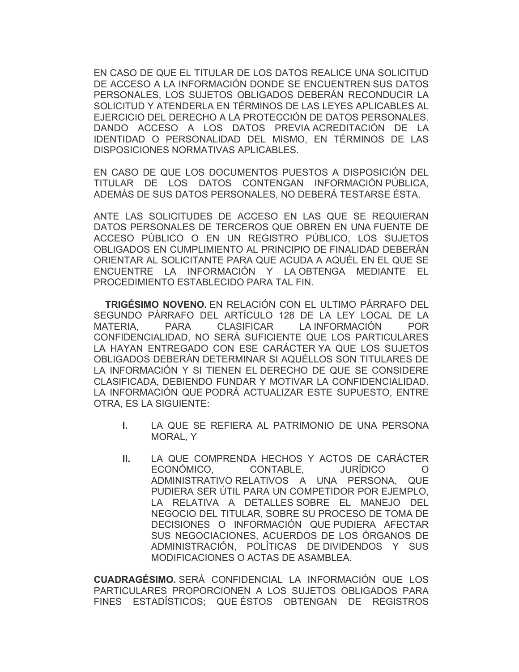EN CASO DE QUE EL TITULAR DE LOS DATOS REALICE UNA SOLICITUD DE ACCESO A LA INFORMACIÓN DONDE SE ENCUENTREN SUS DATOS PERSONALES, LOS SUJETOS OBLIGADOS DEBERÁN RECONDUCIR LA SOLICITUD Y ATENDERLA EN TÉRMINOS DE LAS LEYES APLICABLES AL EJERCICIO DEL DERECHO A LA PROTECCIÓN DE DATOS PERSONALES. DANDO ACCESO A LOS DATOS PREVIA ACREDITACIÓN DE LA IDENTIDAD O PERSONALIDAD DEL MISMO, EN TÉRMINOS DE LAS DISPOSICIONES NORMATIVAS APLICABLES.

EN CASO DE QUE LOS DOCUMENTOS PUESTOS A DISPOSICIÓN DEL TITULAR DE LOS DATOS CONTENGAN INFORMACIÓN PÚBLICA, ADEMÁS DE SUS DATOS PERSONALES, NO DEBERÁ TESTARSE ÉSTA.

ANTE LAS SOLICITUDES DE ACCESO EN LAS QUE SE REQUIERAN DATOS PERSONALES DE TERCEROS QUE OBREN EN UNA FUENTE DE ACCESO PÚBLICO O EN UN REGISTRO PÚBLICO, LOS SUJETOS OBLIGADOS EN CUMPLIMIENTO AL PRINCIPIO DE FINALIDAD DEBERÁN ORIENTAR AL SOLICITANTE PARA QUE ACUDA A AQUÉL EN EL QUE SE ENCUENTRE LA INFORMACIÓN Y LA OBTENGA MEDIANTE EL PROCEDIMIENTO ESTABLECIDO PARA TAL FIN.

**TRIGÉSIMO NOVENO.** EN RELACIÓN CON EL ULTIMO PÁRRAFO DEL SEGUNDO PÁRRAFO DEL ARTÍCULO 128 DE LA LEY LOCAL DE LA MATERIA, PARA CLASIFICAR LA INFORMACIÓN POR CONFIDENCIALIDAD, NO SERÁ SUFICIENTE QUE LOS PARTICULARES LA HAYAN ENTREGADO CON ESE CARÁCTER YA QUE LOS SUJETOS OBLIGADOS DEBERÁN DETERMINAR SI AQUÉLLOS SON TITULARES DE LA INFORMACIÓN Y SI TIENEN EL DERECHO DE QUE SE CONSIDERE CLASIFICADA, DEBIENDO FUNDAR Y MOTIVAR LA CONFIDENCIALIDAD. LA INFORMACIÓN QUE PODRÁ ACTUALIZAR ESTE SUPUESTO, ENTRE OTRA, ES LA SIGUIENTE:

- **I.** LA QUE SE REFIERA AL PATRIMONIO DE UNA PERSONA MORAL, Y
- **II.** LA QUE COMPRENDA HECHOS Y ACTOS DE CARÁCTER ECONÓMICO, CONTABLE, JURÍDICO O ADMINISTRATIVO RELATIVOS A UNA PERSONA, QUE PUDIERA SER ÚTIL PARA UN COMPETIDOR POR EJEMPLO, LA RELATIVA A DETALLES SOBRE EL MANEJO DEL NEGOCIO DEL TITULAR, SOBRE SU PROCESO DE TOMA DE DECISIONES O INFORMACIÓN QUE PUDIERA AFECTAR SUS NEGOCIACIONES, ACUERDOS DE LOS ÓRGANOS DE ADMINISTRACIÓN, POLÍTICAS DE DIVIDENDOS Y SUS MODIFICACIONES O ACTAS DE ASAMBLEA.

**CUADRAGÉSIMO.** SERÁ CONFIDENCIAL LA INFORMACIÓN QUE LOS PARTICULARES PROPORCIONEN A LOS SUJETOS OBLIGADOS PARA FINES ESTADÍSTICOS; QUE ÉSTOS OBTENGAN DE REGISTROS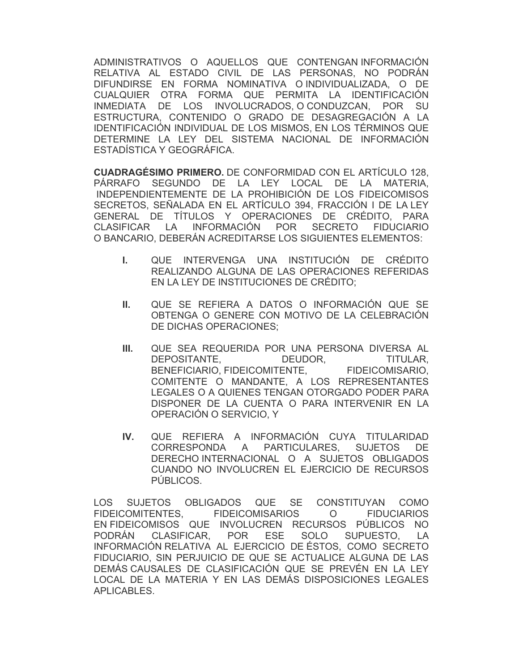ADMINISTRATIVOS O AQUELLOS QUE CONTENGAN INFORMACIÓN RELATIVA AL ESTADO CIVIL DE LAS PERSONAS, NO PODRÁN DIFUNDIRSE EN FORMA NOMINATIVA O INDIVIDUALIZADA, O DE CUALQUIER OTRA FORMA QUE PERMITA LA IDENTIFICACIÓN INMEDIATA DE LOS INVOLUCRADOS, O CONDUZCAN, POR SU ESTRUCTURA, CONTENIDO O GRADO DE DESAGREGACIÓN A LA IDENTIFICACIÓN INDIVIDUAL DE LOS MISMOS, EN LOS TÉRMINOS QUE DETERMINE LA LEY DEL SISTEMA NACIONAL DE INFORMACIÓN ESTADÍSTICA Y GEOGRÁFICA.

**CUADRAGÉSIMO PRIMERO.** DE CONFORMIDAD CON EL ARTÍCULO 128, PÁRRAFO SEGUNDO DE LA LEY LOCAL DE LA MATERIA, INDEPENDIENTEMENTE DE LA PROHIBICIÓN DE LOS FIDEICOMISOS SECRETOS, SEÑALADA EN EL ARTÍCULO 394, FRACCIÓN I DE LA LEY GENERAL DE TÍTULOS Y OPERACIONES DE CRÉDITO, PARA CLASIFICAR LA INFORMACIÓN POR SECRETO FIDUCIARIO O BANCARIO, DEBERÁN ACREDITARSE LOS SIGUIENTES ELEMENTOS:

- **I.** QUE INTERVENGA UNA INSTITUCIÓN DE CRÉDITO REALIZANDO ALGUNA DE LAS OPERACIONES REFERIDAS EN LA LEY DE INSTITUCIONES DE CRÉDITO;
- **II.** QUE SE REFIERA A DATOS O INFORMACIÓN QUE SE OBTENGA O GENERE CON MOTIVO DE LA CELEBRACIÓN DE DICHAS OPERACIONES;
- **III.** QUE SEA REQUERIDA POR UNA PERSONA DIVERSA AL DEPOSITANTE, DEUDOR, TITULAR, BENEFICIARIO, FIDEICOMITENTE, FIDEICOMISARIO, COMITENTE O MANDANTE, A LOS REPRESENTANTES LEGALES O A QUIENES TENGAN OTORGADO PODER PARA DISPONER DE LA CUENTA O PARA INTERVENIR EN LA OPERACIÓN O SERVICIO, Y
- **IV.** QUE REFIERA A INFORMACIÓN CUYA TITULARIDAD CORRESPONDA A PARTICULARES, SUJETOS DE DERECHO INTERNACIONAL O A SUJETOS OBLIGADOS CUANDO NO INVOLUCREN EL EJERCICIO DE RECURSOS PÚBLICOS.

LOS SUJETOS OBLIGADOS QUE SE CONSTITUYAN COMO FIDEICOMITENTES, FIDEICOMISARIOS O FIDUCIARIOS EN FIDEICOMISOS QUE INVOLUCREN RECURSOS PÚBLICOS NO PODRÁN CLASIFICAR, POR ESE SOLO SUPUESTO, LA INFORMACIÓN RELATIVA AL EJERCICIO DE ÉSTOS, COMO SECRETO FIDUCIARIO, SIN PERJUICIO DE QUE SE ACTUALICE ALGUNA DE LAS DEMÁS CAUSALES DE CLASIFICACIÓN QUE SE PREVÉN EN LA LEY LOCAL DE LA MATERIA Y EN LAS DEMÁS DISPOSICIONES LEGALES APLICABLES.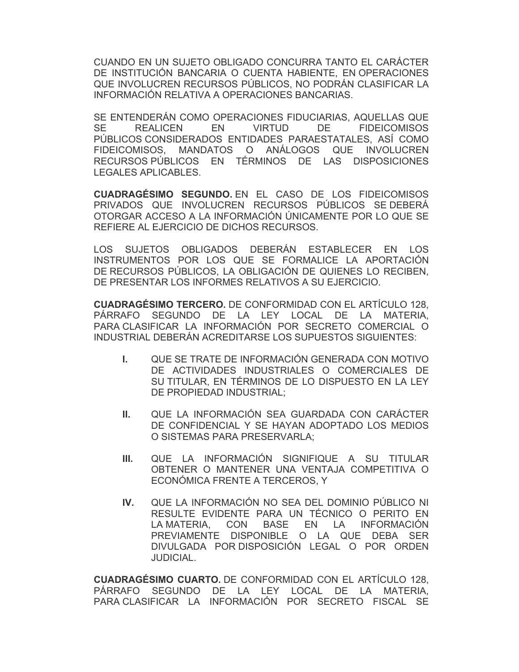CUANDO EN UN SUJETO OBLIGADO CONCURRA TANTO EL CARÁCTER DE INSTITUCIÓN BANCARIA O CUENTA HABIENTE, EN OPERACIONES QUE INVOLUCREN RECURSOS PÚBLICOS, NO PODRÁN CLASIFICAR LA INFORMACIÓN RELATIVA A OPERACIONES BANCARIAS.

SE ENTENDERÁN COMO OPERACIONES FIDUCIARIAS, AQUELLAS QUE SE REALICEN EN VIRTUD DE FIDEICOMISOS PÚBLICOS CONSIDERADOS ENTIDADES PARAESTATALES, ASÍ COMO FIDEICOMISOS, MANDATOS O ANÁLOGOS QUE INVOLUCREN RECURSOS PÚBLICOS EN TÉRMINOS DE LAS DISPOSICIONES LEGALES APLICABLES.

**CUADRAGÉSIMO SEGUNDO.** EN EL CASO DE LOS FIDEICOMISOS PRIVADOS QUE INVOLUCREN RECURSOS PÚBLICOS SE DEBERÁ OTORGAR ACCESO A LA INFORMACIÓN ÚNICAMENTE POR LO QUE SE REFIERE AL EJERCICIO DE DICHOS RECURSOS.

LOS SUJETOS OBLIGADOS DEBERÁN ESTABLECER EN LOS INSTRUMENTOS POR LOS QUE SE FORMALICE LA APORTACIÓN DE RECURSOS PÚBLICOS, LA OBLIGACIÓN DE QUIENES LO RECIBEN, DE PRESENTAR LOS INFORMES RELATIVOS A SU EJERCICIO.

**CUADRAGÉSIMO TERCERO.** DE CONFORMIDAD CON EL ARTÍCULO 128, PÁRRAFO SEGUNDO DE LA LEY LOCAL DE LA MATERIA, PARA CLASIFICAR LA INFORMACIÓN POR SECRETO COMERCIAL O INDUSTRIAL DEBERÁN ACREDITARSE LOS SUPUESTOS SIGUIENTES:

- **I.** QUE SE TRATE DE INFORMACIÓN GENERADA CON MOTIVO DE ACTIVIDADES INDUSTRIALES O COMERCIALES DE SU TITULAR, EN TÉRMINOS DE LO DISPUESTO EN LA LEY DE PROPIEDAD INDUSTRIAL;
- **II.** QUE LA INFORMACIÓN SEA GUARDADA CON CARÁCTER DE CONFIDENCIAL Y SE HAYAN ADOPTADO LOS MEDIOS O SISTEMAS PARA PRESERVARLA;
- **III.** QUE LA INFORMACIÓN SIGNIFIQUE A SU TITULAR OBTENER O MANTENER UNA VENTAJA COMPETITIVA O ECONÓMICA FRENTE A TERCEROS, Y
- **IV.** QUE LA INFORMACIÓN NO SEA DEL DOMINIO PÚBLICO NI RESULTE EVIDENTE PARA UN TÉCNICO O PERITO EN LA MATERIA, CON BASE EN LA INFORMACIÓN PREVIAMENTE DISPONIBLE O LA QUE DEBA SER DIVULGADA POR DISPOSICIÓN LEGAL O POR ORDEN JUDICIAL.

**CUADRAGÉSIMO CUARTO.** DE CONFORMIDAD CON EL ARTÍCULO 128, PÁRRAFO SEGUNDO DE LA LEY LOCAL DE LA MATERIA, PARA CLASIFICAR LA INFORMACIÓN POR SECRETO FISCAL SE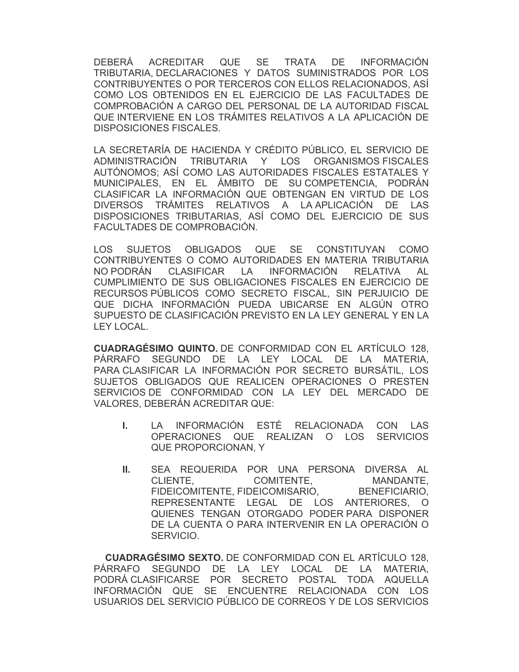DEBERÁ ACREDITAR QUE SE TRATA DE INFORMACIÓN TRIBUTARIA, DECLARACIONES Y DATOS SUMINISTRADOS POR LOS CONTRIBUYENTES O POR TERCEROS CON ELLOS RELACIONADOS, ASÍ COMO LOS OBTENIDOS EN EL EJERCICIO DE LAS FACULTADES DE COMPROBACIÓN A CARGO DEL PERSONAL DE LA AUTORIDAD FISCAL QUE INTERVIENE EN LOS TRÁMITES RELATIVOS A LA APLICACIÓN DE DISPOSICIONES FISCALES.

LA SECRETARÍA DE HACIENDA Y CRÉDITO PÚBLICO, EL SERVICIO DE ADMINISTRACIÓN TRIBUTARIA Y LOS ORGANISMOS FISCALES AUTÓNOMOS; ASÍ COMO LAS AUTORIDADES FISCALES ESTATALES Y MUNICIPALES, EN EL ÁMBITO DE SU COMPETENCIA, PODRÁN CLASIFICAR LA INFORMACIÓN QUE OBTENGAN EN VIRTUD DE LOS DIVERSOS TRÁMITES RELATIVOS A LA APLICACIÓN DE LAS DISPOSICIONES TRIBUTARIAS, ASÍ COMO DEL EJERCICIO DE SUS FACULTADES DE COMPROBACIÓN.

LOS SUJETOS OBLIGADOS QUE SE CONSTITUYAN COMO CONTRIBUYENTES O COMO AUTORIDADES EN MATERIA TRIBUTARIA NO PODRÁN CLASIFICAR LA INFORMACIÓN RELATIVA AL CUMPLIMIENTO DE SUS OBLIGACIONES FISCALES EN EJERCICIO DE RECURSOS PÚBLICOS COMO SECRETO FISCAL, SIN PERJUICIO DE QUE DICHA INFORMACIÓN PUEDA UBICARSE EN ALGÚN OTRO SUPUESTO DE CLASIFICACIÓN PREVISTO EN LA LEY GENERAL Y EN LA LEY LOCAL.

**CUADRAGÉSIMO QUINTO.** DE CONFORMIDAD CON EL ARTÍCULO 128, PÁRRAFO SEGUNDO DE LA LEY LOCAL DE LA MATERIA, PARA CLASIFICAR LA INFORMACIÓN POR SECRETO BURSÁTIL, LOS SUJETOS OBLIGADOS QUE REALICEN OPERACIONES O PRESTEN SERVICIOS DE CONFORMIDAD CON LA LEY DEL MERCADO DE VALORES, DEBERÁN ACREDITAR QUE:

- **I.** LA INFORMACIÓN ESTÉ RELACIONADA CON LAS OPERACIONES QUE REALIZAN O LOS SERVICIOS QUE PROPORCIONAN, Y
- **II.** SEA REQUERIDA POR UNA PERSONA DIVERSA AL CLIENTE, COMITENTE, MANDANTE, FIDEICOMITENTE, FIDEICOMISARIO, BENEFICIARIO, REPRESENTANTE LEGAL DE LOS ANTERIORES, O QUIENES TENGAN OTORGADO PODER PARA DISPONER DE LA CUENTA O PARA INTERVENIR EN LA OPERACIÓN O SERVICIO.

**CUADRAGÉSIMO SEXTO.** DE CONFORMIDAD CON EL ARTÍCULO 128, PÁRRAFO SEGUNDO DE LA LEY LOCAL DE LA MATERIA, PODRÁ CLASIFICARSE POR SECRETO POSTAL TODA AQUELLA INFORMACIÓN QUE SE ENCUENTRE RELACIONADA CON LOS USUARIOS DEL SERVICIO PÚBLICO DE CORREOS Y DE LOS SERVICIOS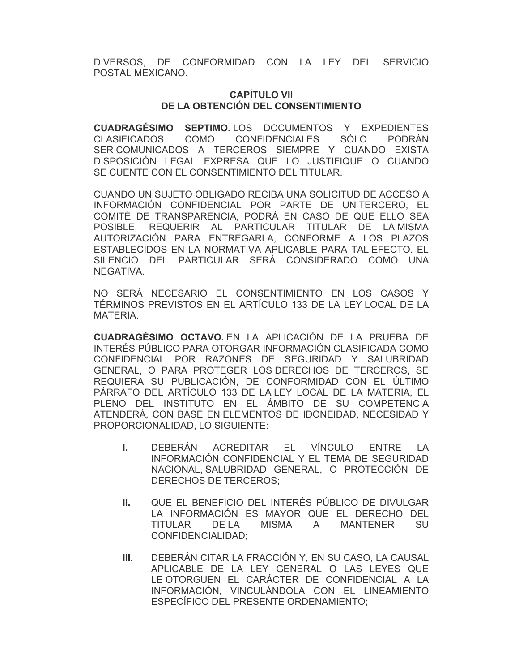DIVERSOS, DE CONFORMIDAD CON LA LEY DEL SERVICIO POSTAL MEXICANO.

#### **CAPÍTULO VII DE LA OBTENCIÓN DEL CONSENTIMIENTO**

**CUADRAGÉSIMO SEPTIMO.** LOS DOCUMENTOS Y EXPEDIENTES CLASIFICADOS COMO CONFIDENCIALES SÓLO PODRÁN SER COMUNICADOS A TERCEROS SIEMPRE Y CUANDO EXISTA DISPOSICIÓN LEGAL EXPRESA QUE LO JUSTIFIQUE O CUANDO SE CUENTE CON EL CONSENTIMIENTO DEL TITULAR.

CUANDO UN SUJETO OBLIGADO RECIBA UNA SOLICITUD DE ACCESO A INFORMACIÓN CONFIDENCIAL POR PARTE DE UN TERCERO, EL COMITÉ DE TRANSPARENCIA, PODRÁ EN CASO DE QUE ELLO SEA POSIBLE, REQUERIR AL PARTICULAR TITULAR DE LA MISMA AUTORIZACIÓN PARA ENTREGARLA, CONFORME A LOS PLAZOS ESTABLECIDOS EN LA NORMATIVA APLICABLE PARA TAL EFECTO. EL SILENCIO DEL PARTICULAR SERÁ CONSIDERADO COMO UNA NEGATIVA.

NO SERÁ NECESARIO EL CONSENTIMIENTO EN LOS CASOS Y TÉRMINOS PREVISTOS EN EL ARTÍCULO 133 DE LA LEY LOCAL DE LA MATERIA.

**CUADRAGÉSIMO OCTAVO.** EN LA APLICACIÓN DE LA PRUEBA DE INTERÉS PÚBLICO PARA OTORGAR INFORMACIÓN CLASIFICADA COMO CONFIDENCIAL POR RAZONES DE SEGURIDAD Y SALUBRIDAD GENERAL, O PARA PROTEGER LOS DERECHOS DE TERCEROS, SE REQUIERA SU PUBLICACIÓN, DE CONFORMIDAD CON EL ÚLTIMO PÁRRAFO DEL ARTÍCULO 133 DE LA LEY LOCAL DE LA MATERIA, EL PLENO DEL INSTITUTO EN EL ÁMBITO DE SU COMPETENCIA ATENDERÁ, CON BASE EN ELEMENTOS DE IDONEIDAD, NECESIDAD Y PROPORCIONALIDAD, LO SIGUIENTE:

- **I.** DEBERÁN ACREDITAR EL VÍNCULO ENTRE LA INFORMACIÓN CONFIDENCIAL Y EL TEMA DE SEGURIDAD NACIONAL, SALUBRIDAD GENERAL, O PROTECCIÓN DE DERECHOS DE TERCEROS;
- **II.** QUE EL BENEFICIO DEL INTERÉS PÚBLICO DE DIVULGAR LA INFORMACIÓN ES MAYOR QUE EL DERECHO DEL TITULAR DE LA MISMA A MANTENER SU CONFIDENCIALIDAD;
- **III.** DEBERÁN CITAR LA FRACCIÓN Y, EN SU CASO, LA CAUSAL APLICABLE DE LA LEY GENERAL O LAS LEYES QUE LE OTORGUEN EL CARÁCTER DE CONFIDENCIAL A LA INFORMACIÓN, VINCULÁNDOLA CON EL LINEAMIENTO ESPECÍFICO DEL PRESENTE ORDENAMIENTO;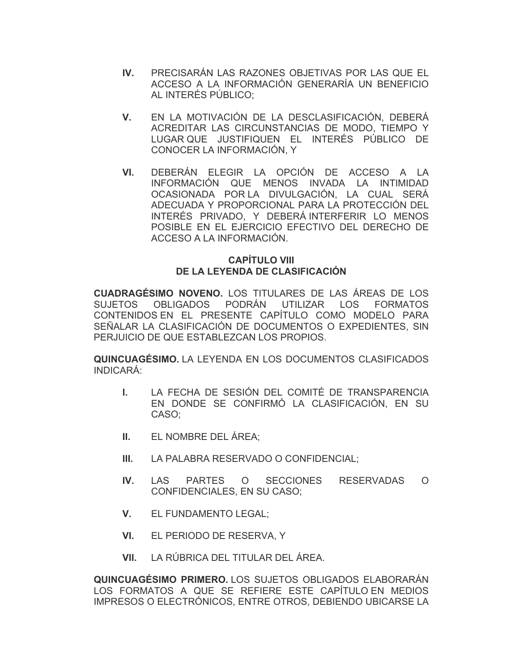- **IV.** PRECISARÁN LAS RAZONES OBJETIVAS POR LAS QUE EL ACCESO A LA INFORMACIÓN GENERARÍA UN BENEFICIO AL INTERÉS PÚBLICO;
- **V.** EN LA MOTIVACIÓN DE LA DESCLASIFICACIÓN, DEBERÁ ACREDITAR LAS CIRCUNSTANCIAS DE MODO, TIEMPO Y LUGAR QUE JUSTIFIQUEN EL INTERÉS PÚBLICO DE CONOCER LA INFORMACIÓN, Y
- **VI.** DEBERÁN ELEGIR LA OPCIÓN DE ACCESO A LA INFORMACIÓN QUE MENOS INVADA LA INTIMIDAD OCASIONADA POR LA DIVULGACIÓN, LA CUAL SERÁ ADECUADA Y PROPORCIONAL PARA LA PROTECCIÓN DEL INTERÉS PRIVADO, Y DEBERÁ INTERFERIR LO MENOS POSIBLE EN EL EJERCICIO EFECTIVO DEL DERECHO DE ACCESO A LA INFORMACIÓN.

# **CAPÍTULO VIII DE LA LEYENDA DE CLASIFICACIÓN**

**CUADRAGÉSIMO NOVENO.** LOS TITULARES DE LAS ÁREAS DE LOS SUJETOS OBLIGADOS PODRÁN UTILIZAR LOS FORMATOS CONTENIDOS EN EL PRESENTE CAPÍTULO COMO MODELO PARA SEÑALAR LA CLASIFICACIÓN DE DOCUMENTOS O EXPEDIENTES, SIN PERJUICIO DE QUE ESTABLEZCAN LOS PROPIOS.

**QUINCUAGÉSIMO.** LA LEYENDA EN LOS DOCUMENTOS CLASIFICADOS INDICARÁ:

- **I.** LA FECHA DE SESIÓN DEL COMITÉ DE TRANSPARENCIA EN DONDE SE CONFIRMÓ LA CLASIFICACIÓN, EN SU CASO;
- **II.** EL NOMBRE DEL ÁREA;
- **III.** LA PALABRA RESERVADO O CONFIDENCIAL;
- **IV.** LAS PARTES O SECCIONES RESERVADAS O CONFIDENCIALES, EN SU CASO;
- **V.** EL FUNDAMENTO LEGAL;
- **VI.** EL PERIODO DE RESERVA, Y
- **VII.** LA RÚBRICA DEL TITULAR DEL ÁREA.

**QUINCUAGÉSIMO PRIMERO.** LOS SUJETOS OBLIGADOS ELABORARÁN LOS FORMATOS A QUE SE REFIERE ESTE CAPÍTULO EN MEDIOS IMPRESOS O ELECTRÓNICOS, ENTRE OTROS, DEBIENDO UBICARSE LA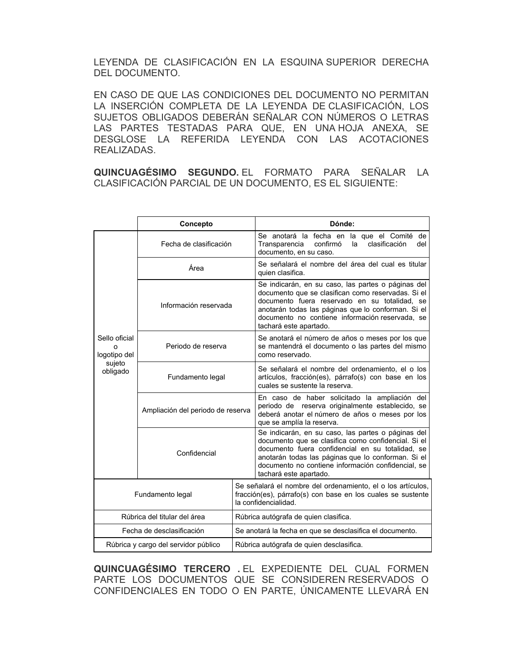LEYENDA DE CLASIFICACIÓN EN LA ESQUINA SUPERIOR DERECHA DEL DOCUMENTO.

EN CASO DE QUE LAS CONDICIONES DEL DOCUMENTO NO PERMITAN LA INSERCIÓN COMPLETA DE LA LEYENDA DE CLASIFICACIÓN, LOS SUJETOS OBLIGADOS DEBERÁN SEÑALAR CON NÚMEROS O LETRAS LAS PARTES TESTADAS PARA QUE, EN UNA HOJA ANEXA, SE DESGLOSE LA REFERIDA LEYENDA CON LAS ACOTACIONES REALIZADAS.

**QUINCUAGÉSIMO SEGUNDO.** EL FORMATO PARA SEÑALAR LA CLASIFICACIÓN PARCIAL DE UN DOCUMENTO, ES EL SIGUIENTE:

|                                                     | Concepto                          |  | Dónde:                                                                                                                                                                                                                                                                                              |
|-----------------------------------------------------|-----------------------------------|--|-----------------------------------------------------------------------------------------------------------------------------------------------------------------------------------------------------------------------------------------------------------------------------------------------------|
| Sello oficial<br>logotipo del<br>sujeto<br>obligado | Fecha de clasificación            |  | Se anotará la fecha en la que el Comité<br>de<br>clasificación<br>confirmó<br>Transparencia<br>la<br>del<br>documento, en su caso.                                                                                                                                                                  |
|                                                     | Área                              |  | Se señalará el nombre del área del cual es titular<br>quien clasifica.                                                                                                                                                                                                                              |
|                                                     | Información reservada             |  | Se indicarán, en su caso, las partes o páginas del<br>documento que se clasifican como reservadas. Si el<br>documento fuera reservado en su totalidad, se<br>anotarán todas las páginas que lo conforman. Si el<br>documento no contiene información reservada, se<br>tachará este apartado.        |
|                                                     | Periodo de reserva                |  | Se anotará el número de años o meses por los que<br>se mantendrá el documento o las partes del mismo<br>como reservado.                                                                                                                                                                             |
|                                                     | Fundamento legal                  |  | Se señalará el nombre del ordenamiento, el o los<br>artículos, fracción(es), párrafo(s) con base en los<br>cuales se sustente la reserva.                                                                                                                                                           |
|                                                     | Ampliación del periodo de reserva |  | En caso de haber solicitado la ampliación del<br>periodo de reserva originalmente establecido, se<br>deberá anotar el número de años o meses por los<br>que se amplía la reserva.                                                                                                                   |
|                                                     | Confidencial                      |  | Se indicarán, en su caso, las partes o páginas del<br>documento que se clasifica como confidencial. Si el<br>documento fuera confidencial en su totalidad, se<br>anotarán todas las páginas que lo conforman. Si el<br>documento no contiene información confidencial, se<br>tachará este apartado. |
| Fundamento legal                                    |                                   |  | Se señalará el nombre del ordenamiento, el o los artículos,<br>fracción(es), párrafo(s) con base en los cuales se sustente<br>la confidencialidad.                                                                                                                                                  |
| Rúbrica del titular del área                        |                                   |  | Rúbrica autógrafa de quien clasifica.                                                                                                                                                                                                                                                               |
| Fecha de desclasificación                           |                                   |  | Se anotará la fecha en que se desclasifica el documento.                                                                                                                                                                                                                                            |
| Rúbrica y cargo del servidor público                |                                   |  | Rúbrica autógrafa de quien desclasifica.                                                                                                                                                                                                                                                            |

**QUINCUAGÉSIMO TERCERO .** EL EXPEDIENTE DEL CUAL FORMEN PARTE LOS DOCUMENTOS QUE SE CONSIDEREN RESERVADOS O CONFIDENCIALES EN TODO O EN PARTE, ÚNICAMENTE LLEVARÁ EN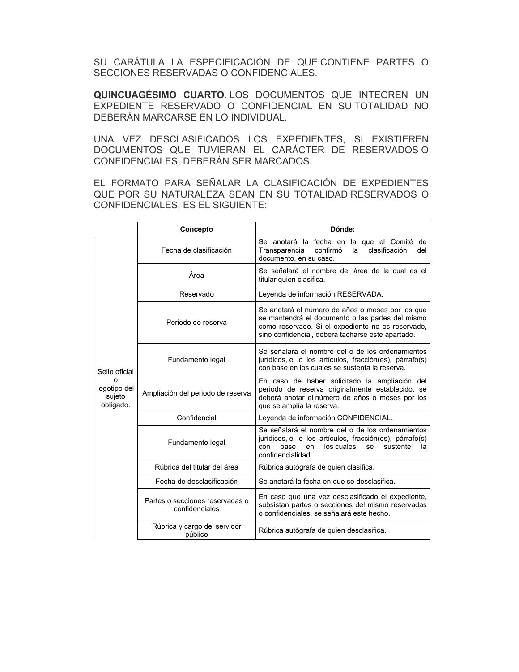SU CARÁTULA LA ESPECIFICACIÓN DE QUE CONTIENE PARTES O SECCIONES RESERVADAS O CONFIDENCIALES.

**QUINCUAGÉSIMO CUARTO.** LOS DOCUMENTOS QUE INTEGREN UN EXPEDIENTE RESERVADO O CONFIDENCIAL EN SU TOTALIDAD NO DEBERÁN MARCARSE EN LO INDIVIDUAL.

UNA VEZ DESCLASIFICADOS LOS EXPEDIENTES, SI EXISTIEREN DOCUMENTOS QUE TUVIERAN EL CARÁCTER DE RESERVADOS O CONFIDENCIALES, DEBERÁN SER MARCADOS.

EL FORMATO PARA SEÑALAR LA CLASIFICACIÓN DE EXPEDIENTES QUE POR SU NATURALEZA SEAN EN SU TOTALIDAD RESERVADOS O CONFIDENCIALES, ES EL SIGUIENTE:

|                                                      | Concepto                                          | Dónde:                                                                                                                                                                                                         |
|------------------------------------------------------|---------------------------------------------------|----------------------------------------------------------------------------------------------------------------------------------------------------------------------------------------------------------------|
| Sello oficial<br>logotipo del<br>sujeto<br>obligado. | Fecha de clasificación                            | Se anotará la fecha en la que el Comité de<br>clasificación<br>confirmó<br>Transparencia<br>del<br>la<br>documento, en su caso.                                                                                |
|                                                      | Área                                              | Se señalará el nombre del área de la cual es el<br>titular quien clasifica.                                                                                                                                    |
|                                                      | Reservado                                         | Leyenda de información RESERVADA.                                                                                                                                                                              |
|                                                      | Periodo de reserva                                | Se anotará el número de años o meses por los que<br>se mantendrá el documento o las partes del mismo<br>como reservado. Si el expediente no es reservado,<br>sino confidencial, deberá tacharse este apartado. |
|                                                      | Fundamento legal                                  | Se señalará el nombre del o de los ordenamientos<br>jurídicos, el o los artículos, fracción(es), párrafo(s)<br>con base en los cuales se sustenta la reserva.                                                  |
|                                                      | Ampliación del periodo de reserva                 | En caso de haber solicitado la ampliación del<br>periodo de reserva originalmente establecido, se<br>deberá anotar el número de años o meses por los<br>que se amplía la reserva.                              |
|                                                      | Confidencial                                      | Leyenda de información CONFIDENCIAL.                                                                                                                                                                           |
|                                                      | Fundamento legal                                  | Se señalará el nombre del o de los ordenamientos<br>jurídicos, el o los artículos, fracción(es), párrafo(s)<br>los cuales<br>base<br>sustente<br>con<br>en<br>se<br>la<br>confidencialidad.                    |
|                                                      | Rúbrica del titular del área                      | Rúbrica autógrafa de quien clasifica.                                                                                                                                                                          |
|                                                      | Fecha de desclasificación                         | Se anotará la fecha en que se desclasifica.                                                                                                                                                                    |
|                                                      | Partes o secciones reservadas o<br>confidenciales | En caso que una vez desclasificado el expediente,<br>subsistan partes o secciones del mismo reservadas<br>o confidenciales, se señalará este hecho.                                                            |
|                                                      | Rúbrica y cargo del servidor<br>público           | Rúbrica autógrafa de quien desclasifica.                                                                                                                                                                       |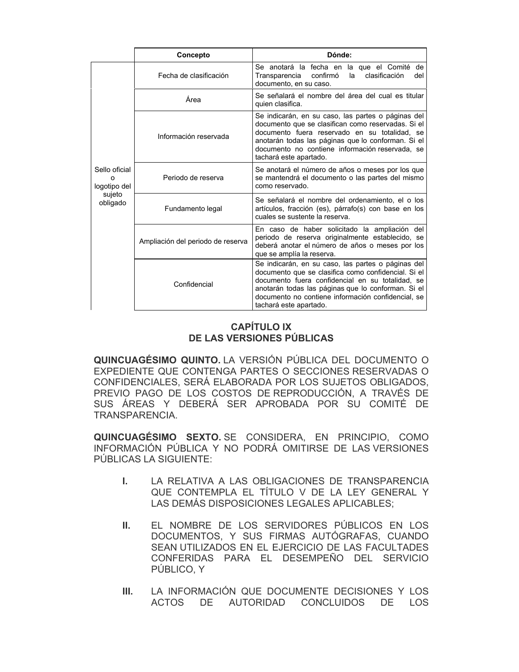|                                                     | Concepto                          | Dónde:                                                                                                                                                                                                                                                                                              |
|-----------------------------------------------------|-----------------------------------|-----------------------------------------------------------------------------------------------------------------------------------------------------------------------------------------------------------------------------------------------------------------------------------------------------|
| Sello oficial<br>logotipo del<br>sujeto<br>obligado | Fecha de clasificación            | Se anotará la fecha en la que el Comité de<br>confirmó<br>clasificación<br>Transparencia<br>la<br>del<br>documento, en su caso.                                                                                                                                                                     |
|                                                     | Área                              | Se señalará el nombre del área del cual es titular<br>quien clasifica.                                                                                                                                                                                                                              |
|                                                     | Información reservada             | Se indicarán, en su caso, las partes o páginas del<br>documento que se clasifican como reservadas. Si el<br>documento fuera reservado en su totalidad, se<br>anotarán todas las páginas que lo conforman. Si el<br>documento no contiene información reservada, se<br>tachará este apartado.        |
|                                                     | Periodo de reserva                | Se anotará el número de años o meses por los que<br>se mantendrá el documento o las partes del mismo<br>como reservado.                                                                                                                                                                             |
|                                                     | Fundamento legal                  | Se señalará el nombre del ordenamiento, el o los<br>artículos, fracción (es), párrafo(s) con base en los<br>cuales se sustente la reserva.                                                                                                                                                          |
|                                                     | Ampliación del periodo de reserva | En caso de haber solicitado la ampliación del<br>periodo de reserva originalmente establecido, se<br>deberá anotar el número de años o meses por los<br>que se amplía la reserva.                                                                                                                   |
|                                                     | Confidencial                      | Se indicarán, en su caso, las partes o páginas del<br>documento que se clasifica como confidencial. Si el<br>documento fuera confidencial en su totalidad, se<br>anotarán todas las páginas que lo conforman. Si el<br>documento no contiene información confidencial, se<br>tachará este apartado. |

# **CAPÍTULO IX DE LAS VERSIONES PÚBLICAS**

**QUINCUAGÉSIMO QUINTO.** LA VERSIÓN PÚBLICA DEL DOCUMENTO O EXPEDIENTE QUE CONTENGA PARTES O SECCIONES RESERVADAS O CONFIDENCIALES, SERÁ ELABORADA POR LOS SUJETOS OBLIGADOS, PREVIO PAGO DE LOS COSTOS DE REPRODUCCIÓN, A TRAVÉS DE SUS ÁREAS Y DEBERÁ SER APROBADA POR SU COMITÉ DE TRANSPARENCIA.

**QUINCUAGÉSIMO SEXTO.** SE CONSIDERA, EN PRINCIPIO, COMO INFORMACIÓN PÚBLICA Y NO PODRÁ OMITIRSE DE LAS VERSIONES PÚBLICAS LA SIGUIENTE:

- **I.** LA RELATIVA A LAS OBLIGACIONES DE TRANSPARENCIA QUE CONTEMPLA EL TÍTULO V DE LA LEY GENERAL Y LAS DEMÁS DISPOSICIONES LEGALES APLICABLES;
- **II.** EL NOMBRE DE LOS SERVIDORES PÚBLICOS EN LOS DOCUMENTOS, Y SUS FIRMAS AUTÓGRAFAS, CUANDO SEAN UTILIZADOS EN EL EJERCICIO DE LAS FACULTADES CONFERIDAS PARA EL DESEMPEÑO DEL SERVICIO PÚBLICO, Y
- **III.** LA INFORMACIÓN QUE DOCUMENTE DECISIONES Y LOS ACTOS DE AUTORIDAD CONCLUIDOS DE LOS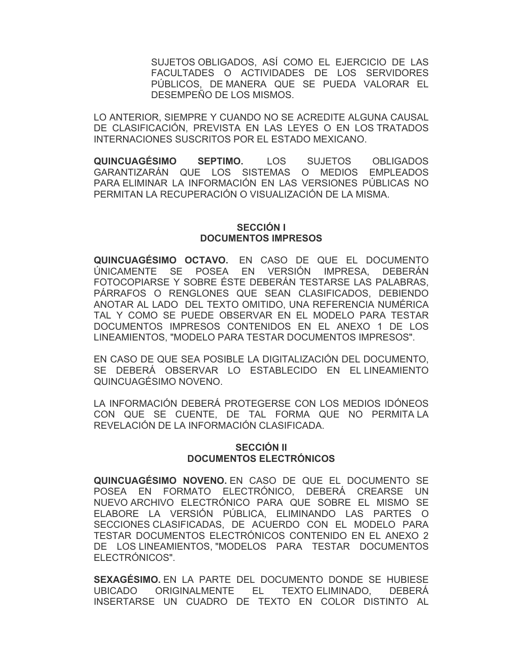SUJETOS OBLIGADOS, ASÍ COMO EL EJERCICIO DE LAS FACULTADES O ACTIVIDADES DE LOS SERVIDORES PÚBLICOS, DE MANERA QUE SE PUEDA VALORAR EL DESEMPEÑO DE LOS MISMOS.

LO ANTERIOR, SIEMPRE Y CUANDO NO SE ACREDITE ALGUNA CAUSAL DE CLASIFICACIÓN, PREVISTA EN LAS LEYES O EN LOS TRATADOS INTERNACIONES SUSCRITOS POR EL ESTADO MEXICANO.

**QUINCUAGÉSIMO SEPTIMO.** LOS SUJETOS OBLIGADOS GARANTIZARÁN QUE LOS SISTEMAS O MEDIOS EMPLEADOS PARA ELIMINAR LA INFORMACIÓN EN LAS VERSIONES PÚBLICAS NO PERMITAN LA RECUPERACIÓN O VISUALIZACIÓN DE LA MISMA.

#### **SECCIÓN I DOCUMENTOS IMPRESOS**

**QUINCUAGÉSIMO OCTAVO.** EN CASO DE QUE EL DOCUMENTO ÚNICAMENTE SE POSEA EN VERSIÓN IMPRESA, DEBERÁN FOTOCOPIARSE Y SOBRE ÉSTE DEBERÁN TESTARSE LAS PALABRAS, PÁRRAFOS O RENGLONES QUE SEAN CLASIFICADOS, DEBIENDO ANOTAR AL LADO DEL TEXTO OMITIDO, UNA REFERENCIA NUMÉRICA TAL Y COMO SE PUEDE OBSERVAR EN EL MODELO PARA TESTAR DOCUMENTOS IMPRESOS CONTENIDOS EN EL ANEXO 1 DE LOS LINEAMIENTOS, "MODELO PARA TESTAR DOCUMENTOS IMPRESOS".

EN CASO DE QUE SEA POSIBLE LA DIGITALIZACIÓN DEL DOCUMENTO, SE DEBERÁ OBSERVAR LO ESTABLECIDO EN EL LINEAMIENTO QUINCUAGÉSIMO NOVENO.

LA INFORMACIÓN DEBERÁ PROTEGERSE CON LOS MEDIOS IDÓNEOS CON QUE SE CUENTE, DE TAL FORMA QUE NO PERMITA LA REVELACIÓN DE LA INFORMACIÓN CLASIFICADA.

## **SECCIÓN II DOCUMENTOS ELECTRÓNICOS**

**QUINCUAGÉSIMO NOVENO.** EN CASO DE QUE EL DOCUMENTO SE POSEA EN FORMATO ELECTRÓNICO, DEBERÁ CREARSE UN NUEVO ARCHIVO ELECTRÓNICO PARA QUE SOBRE EL MISMO SE ELABORE LA VERSIÓN PÚBLICA, ELIMINANDO LAS PARTES O SECCIONES CLASIFICADAS, DE ACUERDO CON EL MODELO PARA TESTAR DOCUMENTOS ELECTRÓNICOS CONTENIDO EN EL ANEXO 2 DE LOS LINEAMIENTOS, "MODELOS PARA TESTAR DOCUMENTOS ELECTRÓNICOS".

**SEXAGÉSIMO.** EN LA PARTE DEL DOCUMENTO DONDE SE HUBIESE UBICADO ORIGINALMENTE EL TEXTO ELIMINADO, DEBERÁ INSERTARSE UN CUADRO DE TEXTO EN COLOR DISTINTO AL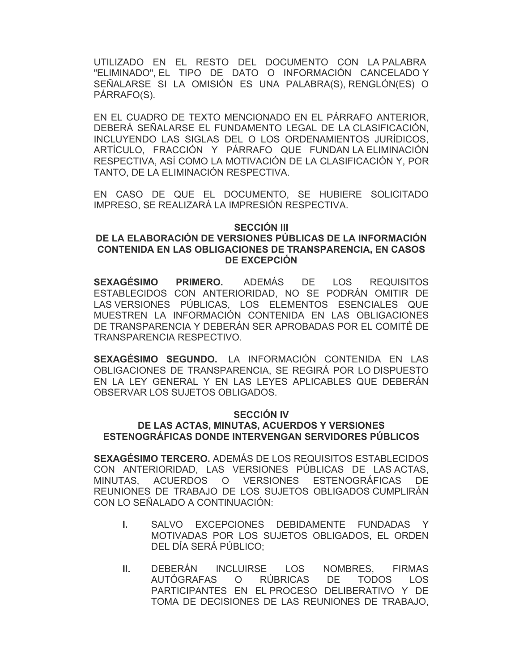UTILIZADO EN EL RESTO DEL DOCUMENTO CON LA PALABRA "ELIMINADO", EL TIPO DE DATO O INFORMACIÓN CANCELADO Y SEÑALARSE SI LA OMISIÓN ES UNA PALABRA(S), RENGLÓN(ES) O PÁRRAFO(S).

EN EL CUADRO DE TEXTO MENCIONADO EN EL PÁRRAFO ANTERIOR, DEBERÁ SEÑALARSE EL FUNDAMENTO LEGAL DE LA CLASIFICACIÓN, INCLUYENDO LAS SIGLAS DEL O LOS ORDENAMIENTOS JURÍDICOS, ARTÍCULO, FRACCIÓN Y PÁRRAFO QUE FUNDAN LA ELIMINACIÓN RESPECTIVA, ASÍ COMO LA MOTIVACIÓN DE LA CLASIFICACIÓN Y, POR TANTO, DE LA ELIMINACIÓN RESPECTIVA.

EN CASO DE QUE EL DOCUMENTO, SE HUBIERE SOLICITADO IMPRESO, SE REALIZARÁ LA IMPRESIÓN RESPECTIVA.

#### **SECCIÓN III**

## **DE LA ELABORACIÓN DE VERSIONES PÚBLICAS DE LA INFORMACIÓN CONTENIDA EN LAS OBLIGACIONES DE TRANSPARENCIA, EN CASOS DE EXCEPCIÓN**

**SEXAGÉSIMO PRIMERO.** ADEMÁS DE LOS REQUISITOS ESTABLECIDOS CON ANTERIORIDAD, NO SE PODRÁN OMITIR DE LAS VERSIONES PÚBLICAS, LOS ELEMENTOS ESENCIALES QUE MUESTREN LA INFORMACIÓN CONTENIDA EN LAS OBLIGACIONES DE TRANSPARENCIA Y DEBERÁN SER APROBADAS POR EL COMITÉ DE TRANSPARENCIA RESPECTIVO.

**SEXAGÉSIMO SEGUNDO.** LA INFORMACIÓN CONTENIDA EN LAS OBLIGACIONES DE TRANSPARENCIA, SE REGIRÁ POR LO DISPUESTO EN LA LEY GENERAL Y EN LAS LEYES APLICABLES QUE DEBERÁN OBSERVAR LOS SUJETOS OBLIGADOS.

#### **SECCIÓN IV**

## **DE LAS ACTAS, MINUTAS, ACUERDOS Y VERSIONES ESTENOGRÁFICAS DONDE INTERVENGAN SERVIDORES PÚBLICOS**

**SEXAGÉSIMO TERCERO.** ADEMÁS DE LOS REQUISITOS ESTABLECIDOS CON ANTERIORIDAD, LAS VERSIONES PÚBLICAS DE LAS ACTAS, MINUTAS, ACUERDOS O VERSIONES ESTENOGRÁFICAS DE REUNIONES DE TRABAJO DE LOS SUJETOS OBLIGADOS CUMPLIRÁN CON LO SEÑALADO A CONTINUACIÓN:

- **I.** SALVO EXCEPCIONES DEBIDAMENTE FUNDADAS Y MOTIVADAS POR LOS SUJETOS OBLIGADOS, EL ORDEN DEL DÍA SERÁ PÚBLICO;
- **II.** DEBERÁN INCLUIRSE LOS NOMBRES, FIRMAS AUTÓGRAFAS O RÚBRICAS DE TODOS LOS PARTICIPANTES EN EL PROCESO DELIBERATIVO Y DE TOMA DE DECISIONES DE LAS REUNIONES DE TRABAJO,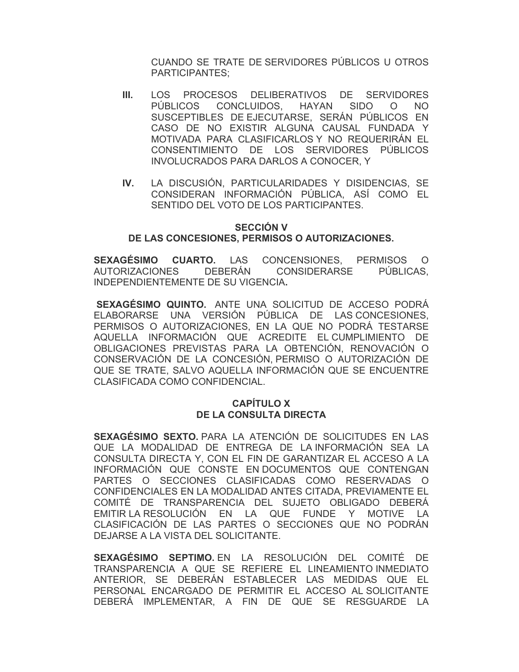CUANDO SE TRATE DE SERVIDORES PÚBLICOS U OTROS PARTICIPANTES;

- **III.** LOS PROCESOS DELIBERATIVOS DE SERVIDORES PÚBLICOS CONCLUIDOS, HAYAN SIDO O NO SUSCEPTIBLES DE EJECUTARSE, SERÁN PÚBLICOS EN CASO DE NO EXISTIR ALGUNA CAUSAL FUNDADA Y MOTIVADA PARA CLASIFICARLOS Y NO REQUERIRÁN EL CONSENTIMIENTO DE LOS SERVIDORES PÚBLICOS INVOLUCRADOS PARA DARLOS A CONOCER, Y
- **IV.** LA DISCUSIÓN, PARTICULARIDADES Y DISIDENCIAS, SE CONSIDERAN INFORMACIÓN PÚBLICA, ASÍ COMO EL SENTIDO DEL VOTO DE LOS PARTICIPANTES.

#### **SECCIÓN V DE LAS CONCESIONES, PERMISOS O AUTORIZACIONES.**

**SEXAGÉSIMO CUARTO.** LAS CONCENSIONES, PERMISOS O AUTORIZACIONES DEBERÁN CONSIDERARSE PÚBLICAS, INDEPENDIENTEMENTE DE SU VIGENCIA**.** 

 **SEXAGÉSIMO QUINTO.** ANTE UNA SOLICITUD DE ACCESO PODRÁ ELABORARSE UNA VERSIÓN PÚBLICA DE LAS CONCESIONES, PERMISOS O AUTORIZACIONES, EN LA QUE NO PODRÁ TESTARSE AQUELLA INFORMACIÓN QUE ACREDITE EL CUMPLIMIENTO DE OBLIGACIONES PREVISTAS PARA LA OBTENCIÓN, RENOVACIÓN O CONSERVACIÓN DE LA CONCESIÓN, PERMISO O AUTORIZACIÓN DE QUE SE TRATE, SALVO AQUELLA INFORMACIÓN QUE SE ENCUENTRE CLASIFICADA COMO CONFIDENCIAL.

## **CAPÍTULO X DE LA CONSULTA DIRECTA**

**SEXAGÉSIMO SEXTO.** PARA LA ATENCIÓN DE SOLICITUDES EN LAS QUE LA MODALIDAD DE ENTREGA DE LA INFORMACIÓN SEA LA CONSULTA DIRECTA Y, CON EL FIN DE GARANTIZAR EL ACCESO A LA INFORMACIÓN QUE CONSTE EN DOCUMENTOS QUE CONTENGAN PARTES O SECCIONES CLASIFICADAS COMO RESERVADAS O CONFIDENCIALES EN LA MODALIDAD ANTES CITADA, PREVIAMENTE EL COMITÉ DE TRANSPARENCIA DEL SUJETO OBLIGADO DEBERÁ EMITIR LA RESOLUCIÓN EN LA QUE FUNDE Y MOTIVE LA CLASIFICACIÓN DE LAS PARTES O SECCIONES QUE NO PODRÁN DEJARSE A LA VISTA DEL SOLICITANTE.

**SEXAGÉSIMO SEPTIMO.** EN LA RESOLUCIÓN DEL COMITÉ DE TRANSPARENCIA A QUE SE REFIERE EL LINEAMIENTO INMEDIATO ANTERIOR, SE DEBERÁN ESTABLECER LAS MEDIDAS QUE EL PERSONAL ENCARGADO DE PERMITIR EL ACCESO AL SOLICITANTE DEBERÁ IMPLEMENTAR, A FIN DE QUE SE RESGUARDE LA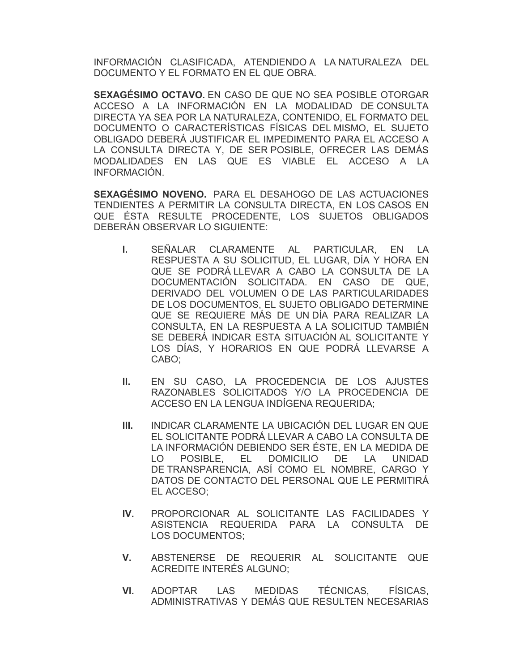INFORMACIÓN CLASIFICADA, ATENDIENDO A LA NATURALEZA DEL DOCUMENTO Y EL FORMATO EN EL QUE OBRA.

**SEXAGÉSIMO OCTAVO.** EN CASO DE QUE NO SEA POSIBLE OTORGAR ACCESO A LA INFORMACIÓN EN LA MODALIDAD DE CONSULTA DIRECTA YA SEA POR LA NATURALEZA, CONTENIDO, EL FORMATO DEL DOCUMENTO O CARACTERÍSTICAS FÍSICAS DEL MISMO, EL SUJETO OBLIGADO DEBERÁ JUSTIFICAR EL IMPEDIMENTO PARA EL ACCESO A LA CONSULTA DIRECTA Y, DE SER POSIBLE, OFRECER LAS DEMÁS MODALIDADES EN LAS QUE ES VIABLE EL ACCESO A LA INFORMACIÓN.

**SEXAGÉSIMO NOVENO.** PARA EL DESAHOGO DE LAS ACTUACIONES TENDIENTES A PERMITIR LA CONSULTA DIRECTA, EN LOS CASOS EN QUE ÉSTA RESULTE PROCEDENTE, LOS SUJETOS OBLIGADOS DEBERÁN OBSERVAR LO SIGUIENTE:

- **I.** SEÑALAR CLARAMENTE AL PARTICULAR, EN LA RESPUESTA A SU SOLICITUD, EL LUGAR, DÍA Y HORA EN QUE SE PODRÁ LLEVAR A CABO LA CONSULTA DE LA DOCUMENTACIÓN SOLICITADA. EN CASO DE QUE, DERIVADO DEL VOLUMEN O DE LAS PARTICULARIDADES DE LOS DOCUMENTOS, EL SUJETO OBLIGADO DETERMINE QUE SE REQUIERE MÁS DE UN DÍA PARA REALIZAR LA CONSULTA, EN LA RESPUESTA A LA SOLICITUD TAMBIÉN SE DEBERÁ INDICAR ESTA SITUACIÓN AL SOLICITANTE Y LOS DÍAS, Y HORARIOS EN QUE PODRÁ LLEVARSE A CABO;
- **II.** EN SU CASO, LA PROCEDENCIA DE LOS AJUSTES RAZONABLES SOLICITADOS Y/O LA PROCEDENCIA DE ACCESO EN LA LENGUA INDÍGENA REQUERIDA;
- **III.** INDICAR CLARAMENTE LA UBICACIÓN DEL LUGAR EN QUE EL SOLICITANTE PODRÁ LLEVAR A CABO LA CONSULTA DE LA INFORMACIÓN DEBIENDO SER ÉSTE, EN LA MEDIDA DE LO POSIBLE, EL DOMICILIO DE LA UNIDAD DE TRANSPARENCIA, ASÍ COMO EL NOMBRE, CARGO Y DATOS DE CONTACTO DEL PERSONAL QUE LE PERMITIRÁ EL ACCESO;
- **IV.** PROPORCIONAR AL SOLICITANTE LAS FACILIDADES Y ASISTENCIA REQUERIDA PARA LA CONSULTA DE LOS DOCUMENTOS;
- **V.** ABSTENERSE DE REQUERIR AL SOLICITANTE QUE ACREDITE INTERÉS ALGUNO;
- **VI.** ADOPTAR LAS MEDIDAS TÉCNICAS, FÍSICAS, ADMINISTRATIVAS Y DEMÁS QUE RESULTEN NECESARIAS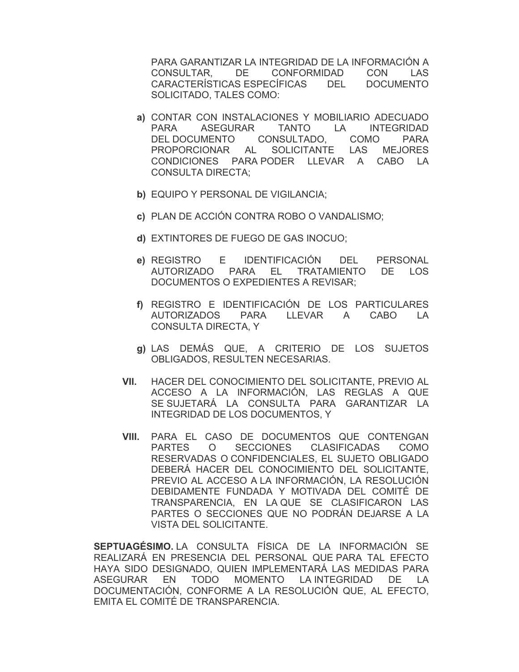PARA GARANTIZAR LA INTEGRIDAD DE LA INFORMACIÓN A CONSULTAR, DE CONFORMIDAD CON LAS CARACTERÍSTICAS ESPECÍFICAS DEL DOCUMENTO SOLICITADO, TALES COMO:

- **a)** CONTAR CON INSTALACIONES Y MOBILIARIO ADECUADO PARA ASEGURAR TANTO LA INTEGRIDAD DEL DOCUMENTO CONSULTADO, COMO PARA PROPORCIONAR AL SOLICITANTE LAS MEJORES CONDICIONES PARA PODER LLEVAR A CABO LA CONSULTA DIRECTA;
- **b)** EQUIPO Y PERSONAL DE VIGILANCIA;
- **c)** PLAN DE ACCIÓN CONTRA ROBO O VANDALISMO;
- **d)** EXTINTORES DE FUEGO DE GAS INOCUO;
- **e)** REGISTRO E IDENTIFICACIÓN DEL PERSONAL AUTORIZADO PARA EL TRATAMIENTO DE LOS DOCUMENTOS O EXPEDIENTES A REVISAR;
- **f)** REGISTRO E IDENTIFICACIÓN DE LOS PARTICULARES AUTORIZADOS PARA LLEVAR A CABO LA CONSULTA DIRECTA, Y
- **g)** LAS DEMÁS QUE, A CRITERIO DE LOS SUJETOS OBLIGADOS, RESULTEN NECESARIAS.
- **VII.** HACER DEL CONOCIMIENTO DEL SOLICITANTE, PREVIO AL ACCESO A LA INFORMACIÓN, LAS REGLAS A QUE SE SUJETARÁ LA CONSULTA PARA GARANTIZAR LA INTEGRIDAD DE LOS DOCUMENTOS, Y
- **VIII.** PARA EL CASO DE DOCUMENTOS QUE CONTENGAN PARTES O SECCIONES CLASIFICADAS COMO RESERVADAS O CONFIDENCIALES, EL SUJETO OBLIGADO DEBERÁ HACER DEL CONOCIMIENTO DEL SOLICITANTE, PREVIO AL ACCESO A LA INFORMACIÓN, LA RESOLUCIÓN DEBIDAMENTE FUNDADA Y MOTIVADA DEL COMITÉ DE TRANSPARENCIA, EN LA QUE SE CLASIFICARON LAS PARTES O SECCIONES QUE NO PODRÁN DEJARSE A LA VISTA DEL SOLICITANTE.

**SEPTUAGÉSIMO.** LA CONSULTA FÍSICA DE LA INFORMACIÓN SE REALIZARÁ EN PRESENCIA DEL PERSONAL QUE PARA TAL EFECTO HAYA SIDO DESIGNADO, QUIEN IMPLEMENTARÁ LAS MEDIDAS PARA ASEGURAR EN TODO MOMENTO LA INTEGRIDAD DE LA DOCUMENTACIÓN, CONFORME A LA RESOLUCIÓN QUE, AL EFECTO, EMITA EL COMITÉ DE TRANSPARENCIA.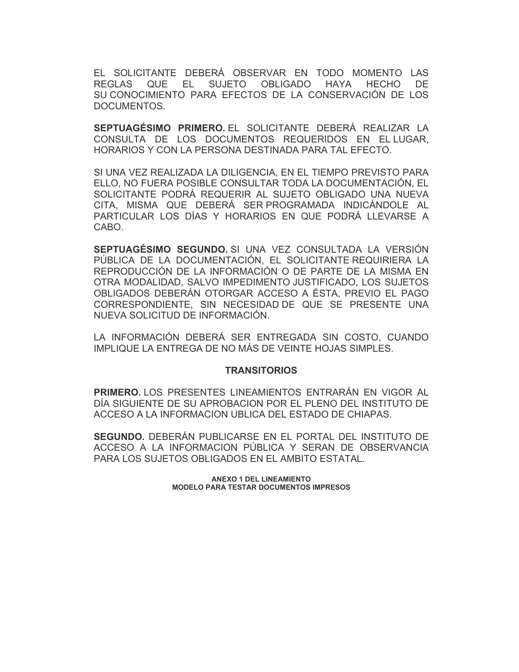EL SOLICITANTE DEBERÁ OBSERVAR EN TODO MOMENTO LAS REGLAS QUE EL SUJETO OBLIGADO HAYA HECHO DE SU CONOCIMIENTO PARA EFECTOS DE LA CONSERVACIÓN DE LOS DOCUMENTOS.

**SEPTUAGÉSIMO PRIMERO.** EL SOLICITANTE DEBERÁ REALIZAR LA CONSULTA DE LOS DOCUMENTOS REQUERIDOS EN EL LUGAR, HORARIOS Y CON LA PERSONA DESTINADA PARA TAL EFECTO.

SI UNA VEZ REALIZADA LA DILIGENCIA, EN EL TIEMPO PREVISTO PARA ELLO, NO FUERA POSIBLE CONSULTAR TODA LA DOCUMENTACIÓN, EL SOLICITANTE PODRÁ REQUERIR AL SUJETO OBLIGADO UNA NUEVA CITA, MISMA QUE DEBERÁ SER PROGRAMADA INDICÁNDOLE AL PARTICULAR LOS DÍAS Y HORARIOS EN QUE PODRÁ LLEVARSE A CABO.

**SEPTUAGÉSIMO SEGUNDO.** SI UNA VEZ CONSULTADA LA VERSIÓN PÚBLICA DE LA DOCUMENTACIÓN, EL SOLICITANTE REQUIRIERA LA REPRODUCCIÓN DE LA INFORMACIÓN O DE PARTE DE LA MISMA EN OTRA MODALIDAD, SALVO IMPEDIMENTO JUSTIFICADO, LOS SUJETOS OBLIGADOS DEBERÁN OTORGAR ACCESO A ÉSTA, PREVIO EL PAGO CORRESPONDIENTE, SIN NECESIDAD DE QUE SE PRESENTE UNA NUEVA SOLICITUD DE INFORMACIÓN.

LA INFORMACIÓN DEBERÁ SER ENTREGADA SIN COSTO, CUANDO IMPLIQUE LA ENTREGA DE NO MÁS DE VEINTE HOJAS SIMPLES.

#### **TRANSITORIOS**

**PRIMERO.** LOS PRESENTES LINEAMIENTOS ENTRARÁN EN VIGOR AL DÍA SIGUIENTE DE SU APROBACION POR EL PLENO DEL INSTITUTO DE ACCESO A LA INFORMACION UBLICA DEL ESTADO DE CHIAPAS.

**SEGUNDO.** DEBERÁN PUBLICARSE EN EL PORTAL DEL INSTITUTO DE ACCESO A LA INFORMACION PÚBLICA Y SERAN DE OBSERVANCIA PARA LOS SUJETOS OBLIGADOS EN EL AMBITO ESTATAL.

> **ANEXO 1 DEL LINEAMIENTO MODELO PARA TESTAR DOCUMENTOS IMPRESOS**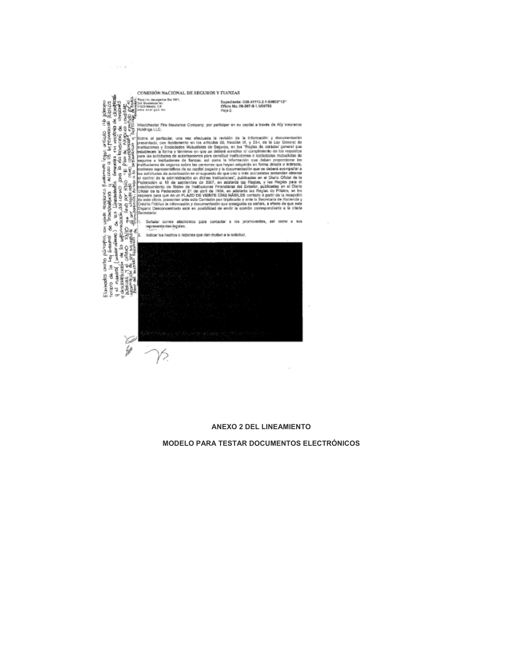

 $\alpha$  . The same

#### **ANEXO 2 DEL LINEAMIENTO**

 $\overline{\phantom{a}}$ 

#### **MODELO PARA TESTAR DOCUMENTOS ELECTRÓNICOS**